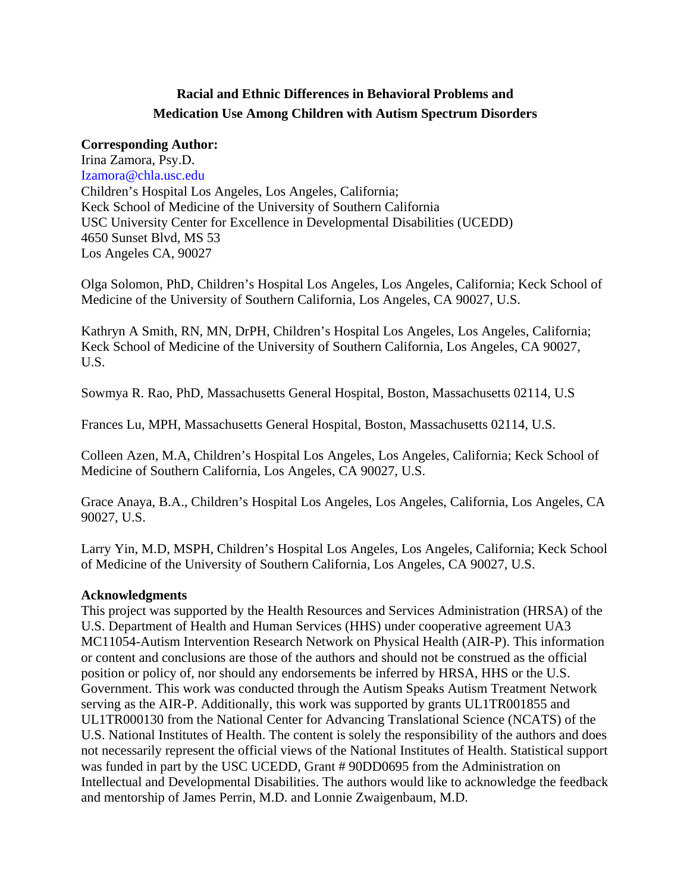## **Racial and Ethnic Differences in Behavioral Problems and Medication Use Among Children with Autism Spectrum Disorders**

## **Corresponding Author:**

Irina Zamora, Psy.D. Izamora@chla.usc.edu Children's Hospital Los Angeles, Los Angeles, California; Keck School of Medicine of the University of Southern California USC University Center for Excellence in Developmental Disabilities (UCEDD) 4650 Sunset Blvd, MS 53 Los Angeles CA, 90027

Olga Solomon, PhD, Children's Hospital Los Angeles, Los Angeles, California; Keck School of Medicine of the University of Southern California, Los Angeles, CA 90027, U.S.

Kathryn A Smith, RN, MN, DrPH, Children's Hospital Los Angeles, Los Angeles, California; Keck School of Medicine of the University of Southern California, Los Angeles, CA 90027, U.S.

Sowmya R. Rao, PhD, Massachusetts General Hospital, Boston, Massachusetts 02114, U.S

Frances Lu, MPH, Massachusetts General Hospital, Boston, Massachusetts 02114, U.S.

Colleen Azen, M.A, Children's Hospital Los Angeles, Los Angeles, California; Keck School of Medicine of Southern California, Los Angeles, CA 90027, U.S.

Grace Anaya, B.A., Children's Hospital Los Angeles, Los Angeles, California, Los Angeles, CA 90027, U.S.

Larry Yin, M.D, MSPH, Children's Hospital Los Angeles, Los Angeles, California; Keck School of Medicine of the University of Southern California, Los Angeles, CA 90027, U.S.

## **Acknowledgments**

This project was supported by the Health Resources and Services Administration (HRSA) of the U.S. Department of Health and Human Services (HHS) under cooperative agreement UA3 MC11054-Autism Intervention Research Network on Physical Health (AIR-P). This information or content and conclusions are those of the authors and should not be construed as the official position or policy of, nor should any endorsements be inferred by HRSA, HHS or the U.S. Government. This work was conducted through the Autism Speaks Autism Treatment Network serving as the AIR-P. Additionally, this work was supported by grants UL1TR001855 and UL1TR000130 from the National Center for Advancing Translational Science (NCATS) of the U.S. National Institutes of Health. The content is solely the responsibility of the authors and does not necessarily represent the official views of the National Institutes of Health. Statistical support was funded in part by the USC UCEDD, Grant # 90DD0695 from the Administration on Intellectual and Developmental Disabilities. The authors would like to acknowledge the feedback and mentorship of James Perrin, M.D. and Lonnie Zwaigenbaum, M.D.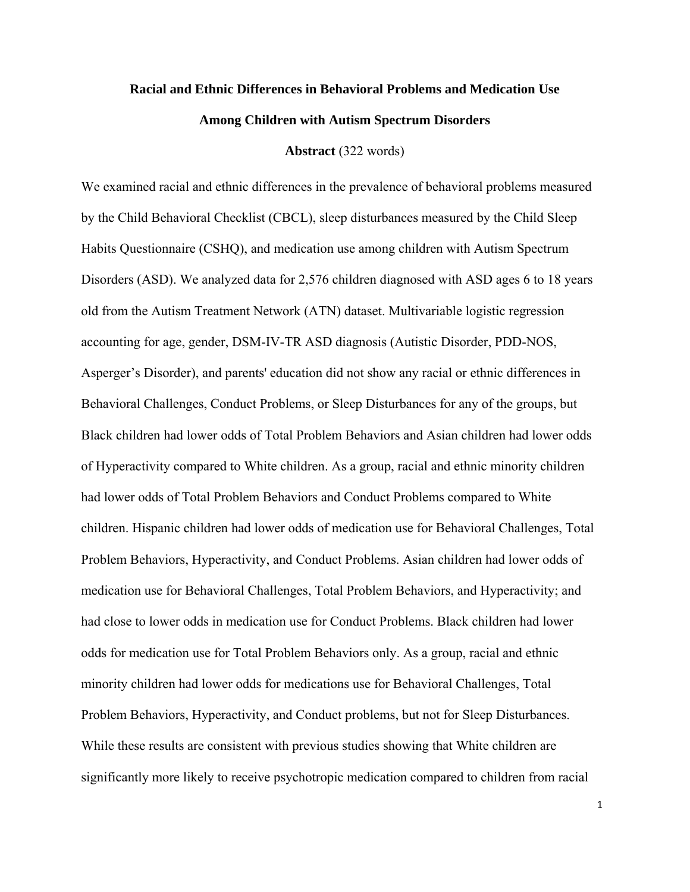# **Racial and Ethnic Differences in Behavioral Problems and Medication Use Among Children with Autism Spectrum Disorders**

#### **Abstract** (322 words)

We examined racial and ethnic differences in the prevalence of behavioral problems measured by the Child Behavioral Checklist (CBCL), sleep disturbances measured by the Child Sleep Habits Questionnaire (CSHQ), and medication use among children with Autism Spectrum Disorders (ASD). We analyzed data for 2,576 children diagnosed with ASD ages 6 to 18 years old from the Autism Treatment Network (ATN) dataset. Multivariable logistic regression accounting for age, gender, DSM-IV-TR ASD diagnosis (Autistic Disorder, PDD-NOS, Asperger's Disorder), and parents' education did not show any racial or ethnic differences in Behavioral Challenges, Conduct Problems, or Sleep Disturbances for any of the groups, but Black children had lower odds of Total Problem Behaviors and Asian children had lower odds of Hyperactivity compared to White children. As a group, racial and ethnic minority children had lower odds of Total Problem Behaviors and Conduct Problems compared to White children. Hispanic children had lower odds of medication use for Behavioral Challenges, Total Problem Behaviors, Hyperactivity, and Conduct Problems. Asian children had lower odds of medication use for Behavioral Challenges, Total Problem Behaviors, and Hyperactivity; and had close to lower odds in medication use for Conduct Problems. Black children had lower odds for medication use for Total Problem Behaviors only. As a group, racial and ethnic minority children had lower odds for medications use for Behavioral Challenges, Total Problem Behaviors, Hyperactivity, and Conduct problems, but not for Sleep Disturbances. While these results are consistent with previous studies showing that White children are significantly more likely to receive psychotropic medication compared to children from racial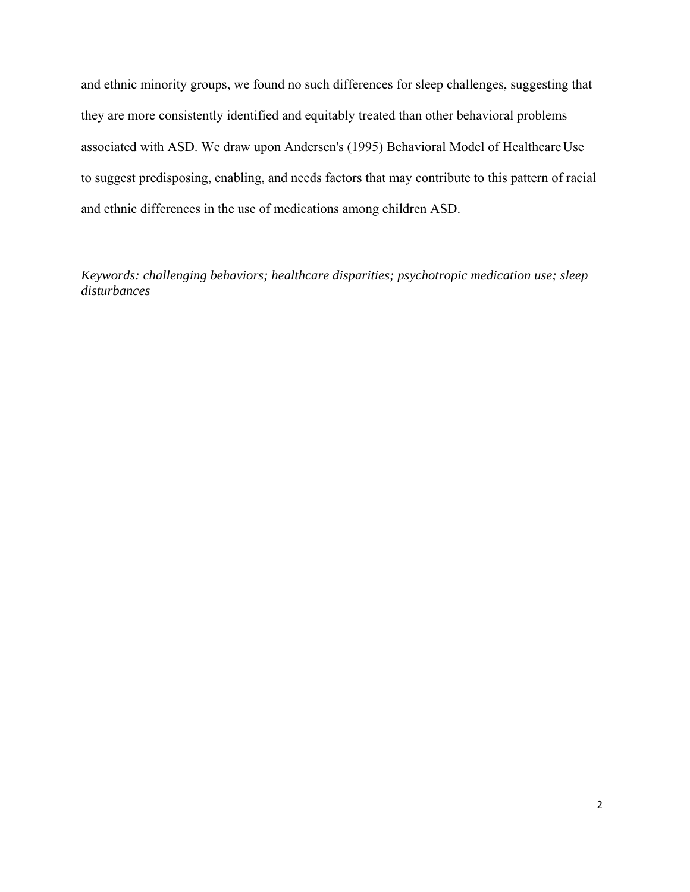and ethnic minority groups, we found no such differences for sleep challenges, suggesting that they are more consistently identified and equitably treated than other behavioral problems associated with ASD. We draw upon Andersen's (1995) Behavioral Model of Healthcare Use to suggest predisposing, enabling, and needs factors that may contribute to this pattern of racial and ethnic differences in the use of medications among children ASD.

*Keywords: challenging behaviors; healthcare disparities; psychotropic medication use; sleep disturbances*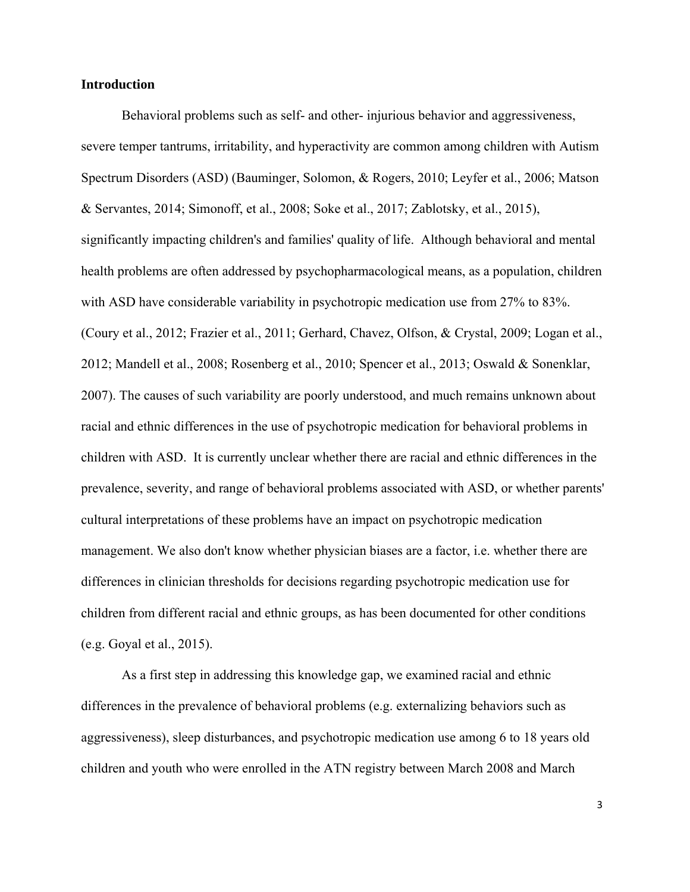#### **Introduction**

Behavioral problems such as self- and other- injurious behavior and aggressiveness, severe temper tantrums, irritability, and hyperactivity are common among children with Autism Spectrum Disorders (ASD) (Bauminger, Solomon, & Rogers, 2010; Leyfer et al., 2006; Matson & Servantes, 2014; Simonoff, et al., 2008; Soke et al., 2017; Zablotsky, et al., 2015), significantly impacting children's and families' quality of life. Although behavioral and mental health problems are often addressed by psychopharmacological means, as a population, children with ASD have considerable variability in psychotropic medication use from 27% to 83%. (Coury et al., 2012; Frazier et al., 2011; Gerhard, Chavez, Olfson, & Crystal, 2009; Logan et al., 2012; Mandell et al., 2008; Rosenberg et al., 2010; Spencer et al., 2013; Oswald & Sonenklar, 2007). The causes of such variability are poorly understood, and much remains unknown about racial and ethnic differences in the use of psychotropic medication for behavioral problems in children with ASD. It is currently unclear whether there are racial and ethnic differences in the prevalence, severity, and range of behavioral problems associated with ASD, or whether parents' cultural interpretations of these problems have an impact on psychotropic medication management. We also don't know whether physician biases are a factor, i.e. whether there are differences in clinician thresholds for decisions regarding psychotropic medication use for children from different racial and ethnic groups, as has been documented for other conditions (e.g. Goyal et al., 2015).

As a first step in addressing this knowledge gap, we examined racial and ethnic differences in the prevalence of behavioral problems (e.g. externalizing behaviors such as aggressiveness), sleep disturbances, and psychotropic medication use among 6 to 18 years old children and youth who were enrolled in the ATN registry between March 2008 and March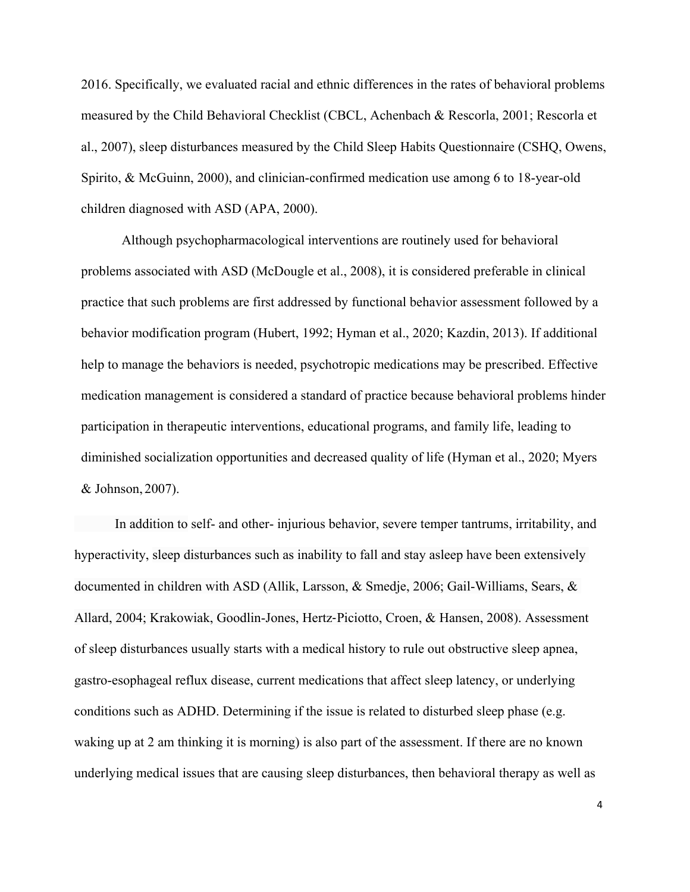2016. Specifically, we evaluated racial and ethnic differences in the rates of behavioral problems measured by the Child Behavioral Checklist (CBCL, Achenbach & Rescorla, 2001; Rescorla et al., 2007), sleep disturbances measured by the Child Sleep Habits Questionnaire (CSHQ, Owens, Spirito, & McGuinn, 2000), and clinician-confirmed medication use among 6 to 18-year-old children diagnosed with ASD (APA, 2000).

Although psychopharmacological interventions are routinely used for behavioral problems associated with ASD (McDougle et al., 2008), it is considered preferable in clinical practice that such problems are first addressed by functional behavior assessment followed by a behavior modification program (Hubert, 1992; Hyman et al., 2020; Kazdin, 2013). If additional help to manage the behaviors is needed, psychotropic medications may be prescribed. Effective medication management is considered a standard of practice because behavioral problems hinder participation in therapeutic interventions, educational programs, and family life, leading to diminished socialization opportunities and decreased quality of life (Hyman et al., 2020; Myers & Johnson, 2007).

 In addition to self- and other- injurious behavior, severe temper tantrums, irritability, and hyperactivity, sleep disturbances such as inability to fall and stay asleep have been extensively documented in children with ASD (Allik, Larsson, & Smedje, 2006; Gail-Williams, Sears, & Allard, 2004; Krakowiak, Goodlin-Jones, Hertz‐Piciotto, Croen, & Hansen, 2008). Assessment of sleep disturbances usually starts with a medical history to rule out obstructive sleep apnea, gastro-esophageal reflux disease, current medications that affect sleep latency, or underlying conditions such as ADHD. Determining if the issue is related to disturbed sleep phase (e.g. waking up at 2 am thinking it is morning) is also part of the assessment. If there are no known underlying medical issues that are causing sleep disturbances, then behavioral therapy as well as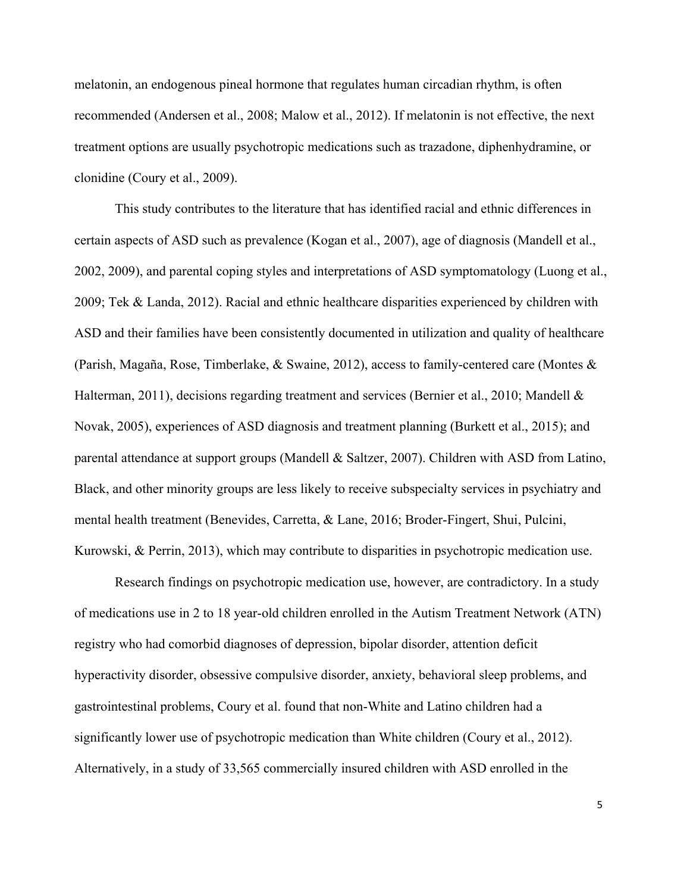melatonin, an endogenous pineal hormone that regulates human circadian rhythm, is often recommended (Andersen et al., 2008; Malow et al., 2012). If melatonin is not effective, the next treatment options are usually psychotropic medications such as trazadone, diphenhydramine, or clonidine (Coury et al., 2009).

This study contributes to the literature that has identified racial and ethnic differences in certain aspects of ASD such as prevalence (Kogan et al., 2007), age of diagnosis (Mandell et al., 2002, 2009), and parental coping styles and interpretations of ASD symptomatology (Luong et al., 2009; Tek & Landa, 2012). Racial and ethnic healthcare disparities experienced by children with ASD and their families have been consistently documented in utilization and quality of healthcare (Parish, Magaña, Rose, Timberlake, & Swaine, 2012), access to family-centered care (Montes & Halterman, 2011), decisions regarding treatment and services (Bernier et al., 2010; Mandell & Novak, 2005), experiences of ASD diagnosis and treatment planning (Burkett et al., 2015); and parental attendance at support groups (Mandell & Saltzer, 2007). Children with ASD from Latino, Black, and other minority groups are less likely to receive subspecialty services in psychiatry and mental health treatment (Benevides, Carretta, & Lane, 2016; Broder-Fingert, Shui, Pulcini, Kurowski, & Perrin, 2013), which may contribute to disparities in psychotropic medication use.

Research findings on psychotropic medication use, however, are contradictory. In a study of medications use in 2 to 18 year-old children enrolled in the Autism Treatment Network (ATN) registry who had comorbid diagnoses of depression, bipolar disorder, attention deficit hyperactivity disorder, obsessive compulsive disorder, anxiety, behavioral sleep problems, and gastrointestinal problems, Coury et al. found that non-White and Latino children had a significantly lower use of psychotropic medication than White children (Coury et al., 2012). Alternatively, in a study of 33,565 commercially insured children with ASD enrolled in the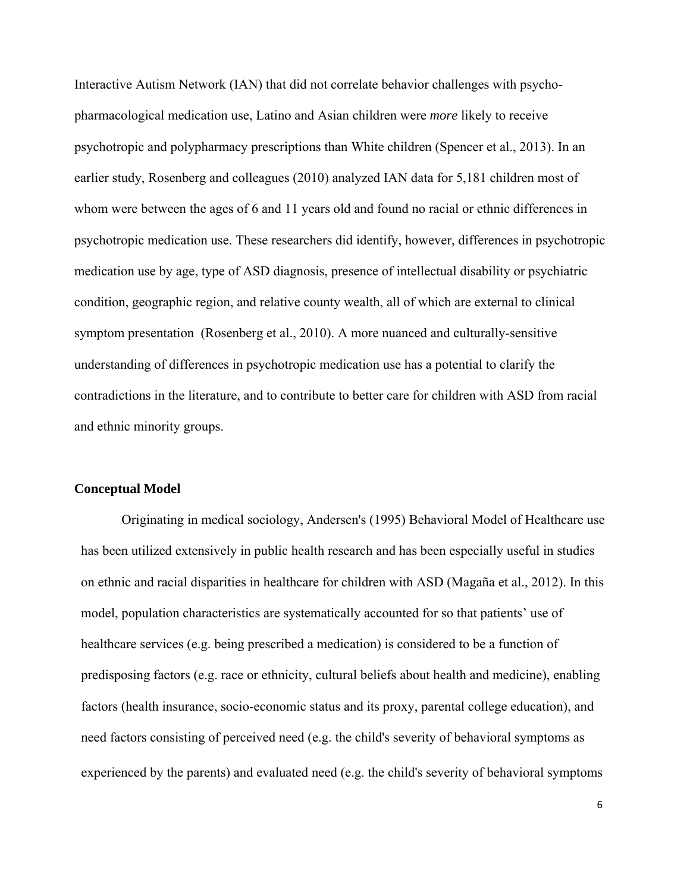Interactive Autism Network (IAN) that did not correlate behavior challenges with psychopharmacological medication use, Latino and Asian children were *more* likely to receive psychotropic and polypharmacy prescriptions than White children (Spencer et al., 2013). In an earlier study, Rosenberg and colleagues (2010) analyzed IAN data for 5,181 children most of whom were between the ages of 6 and 11 years old and found no racial or ethnic differences in psychotropic medication use. These researchers did identify, however, differences in psychotropic medication use by age, type of ASD diagnosis, presence of intellectual disability or psychiatric condition, geographic region, and relative county wealth, all of which are external to clinical symptom presentation (Rosenberg et al., 2010). A more nuanced and culturally-sensitive understanding of differences in psychotropic medication use has a potential to clarify the contradictions in the literature, and to contribute to better care for children with ASD from racial and ethnic minority groups.

## **Conceptual Model**

Originating in medical sociology, Andersen's (1995) Behavioral Model of Healthcare use has been utilized extensively in public health research and has been especially useful in studies on ethnic and racial disparities in healthcare for children with ASD (Magaña et al., 2012). In this model, population characteristics are systematically accounted for so that patients' use of healthcare services (e.g. being prescribed a medication) is considered to be a function of predisposing factors (e.g. race or ethnicity, cultural beliefs about health and medicine), enabling factors (health insurance, socio-economic status and its proxy, parental college education), and need factors consisting of perceived need (e.g. the child's severity of behavioral symptoms as experienced by the parents) and evaluated need (e.g. the child's severity of behavioral symptoms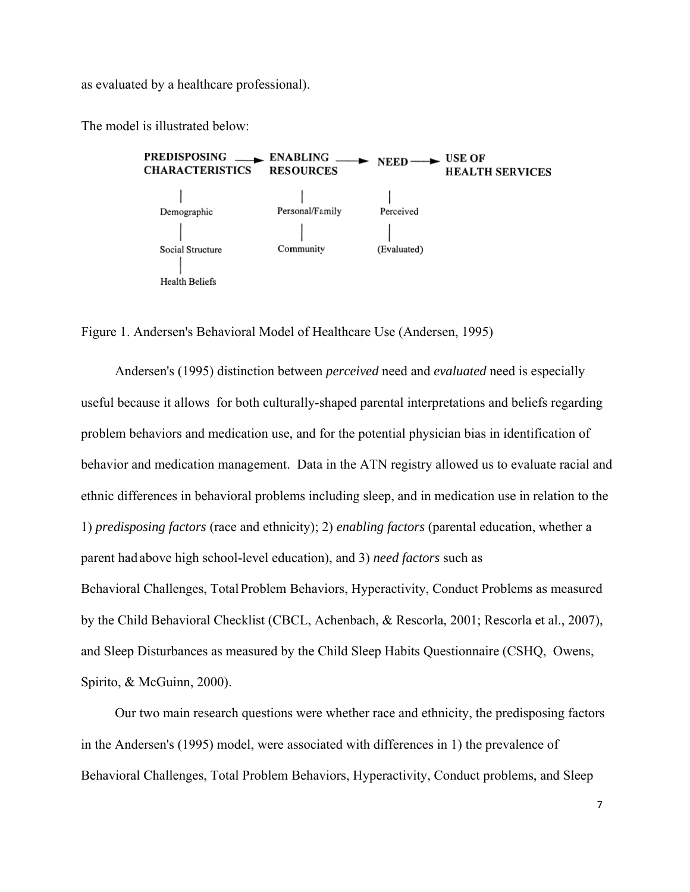as evaluated by a healthcare professional).

The model is illustrated below:



Figure 1. Andersen's Behavioral Model of Healthcare Use (Andersen, 1995)

Andersen's (1995) distinction between *perceived* need and *evaluated* need is especially Andersen's (1995) distinction between *perceived* need and *evaluated* need is especially<br>useful because it allows for both culturally-shaped parental interpretations and beliefs regarding problem behaviors and medication use, and for the potential physician bias in identification of behavior and medication management. Data in the ATN registry allowed us to evaluate racial and ethnic differences in behavioral problems including sleep, and in medication use in relation to the 1) *predisposing factors* (race and ethnicity); 2) *enabling factors* (parental education, whether a parent had above high school-level education), and 3) *need factors* such as Behavioral Challenges, Total Problem Behaviors, Hyperactivity, Conduct Problems as measured by the Child Behavioral Checklist (CBCL, Achenbach, & Rescorla, 2001; Rescorla et al., 2007), and Sleep Disturbances as measured by the Child Sleep Habits Questionnaire (CSHQ, Owens, Spirito, & & McGuinn, 2000).

Our two main research questions were whether race and ethnicity, the predisposing factors in the Andersen's (1995) model, were associated with differences in 1) the prevalence of Behavioral Challenges, Total Problem Behaviors, Hyperactivity, Conduct problems, and Sleep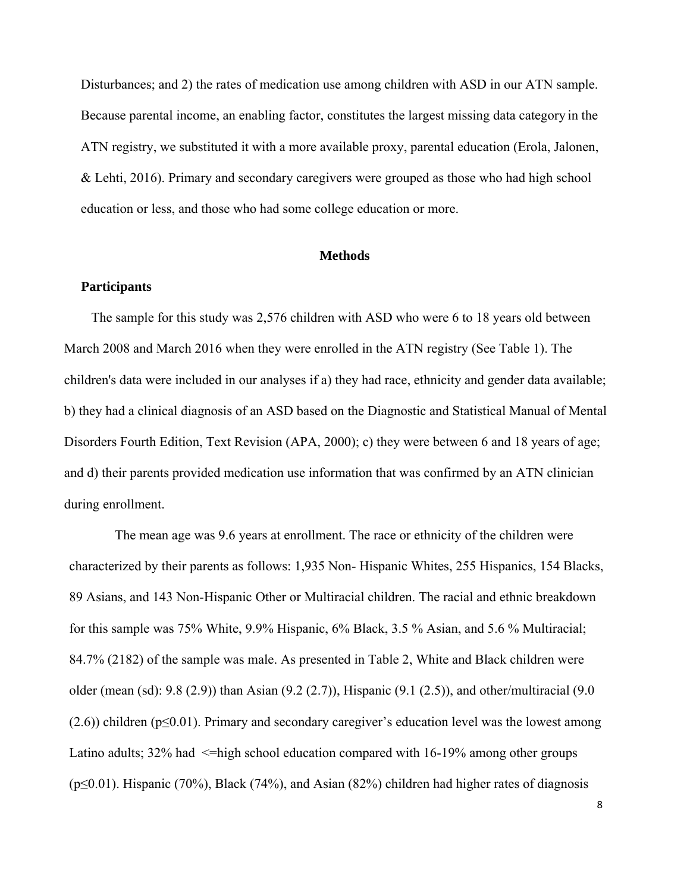Disturbances; and 2) the rates of medication use among children with ASD in our ATN sample. Because parental income, an enabling factor, constitutes the largest missing data category in the ATN registry, we substituted it with a more available proxy, parental education (Erola, Jalonen, & Lehti, 2016). Primary and secondary caregivers were grouped as those who had high school education or less, and those who had some college education or more.

#### **Methods**

## **Participants**

 The sample for this study was 2,576 children with ASD who were 6 to 18 years old between March 2008 and March 2016 when they were enrolled in the ATN registry (See Table 1). The children's data were included in our analyses if a) they had race, ethnicity and gender data available; b) they had a clinical diagnosis of an ASD based on the Diagnostic and Statistical Manual of Mental Disorders Fourth Edition, Text Revision (APA, 2000); c) they were between 6 and 18 years of age; and d) their parents provided medication use information that was confirmed by an ATN clinician during enrollment.

 The mean age was 9.6 years at enrollment. The race or ethnicity of the children were characterized by their parents as follows: 1,935 Non- Hispanic Whites, 255 Hispanics, 154 Blacks, 89 Asians, and 143 Non-Hispanic Other or Multiracial children. The racial and ethnic breakdown for this sample was 75% White, 9.9% Hispanic, 6% Black, 3.5 % Asian, and 5.6 % Multiracial; 84.7% (2182) of the sample was male. As presented in Table 2, White and Black children were older (mean (sd): 9.8 (2.9)) than Asian (9.2 (2.7)), Hispanic (9.1 (2.5)), and other/multiracial (9.0  $(2.6)$ ) children (p $\leq 0.01$ ). Primary and secondary caregiver's education level was the lowest among Latino adults;  $32\%$  had  $\leq$ high school education compared with 16-19% among other groups ( $p \le 0.01$ ). Hispanic (70%), Black (74%), and Asian (82%) children had higher rates of diagnosis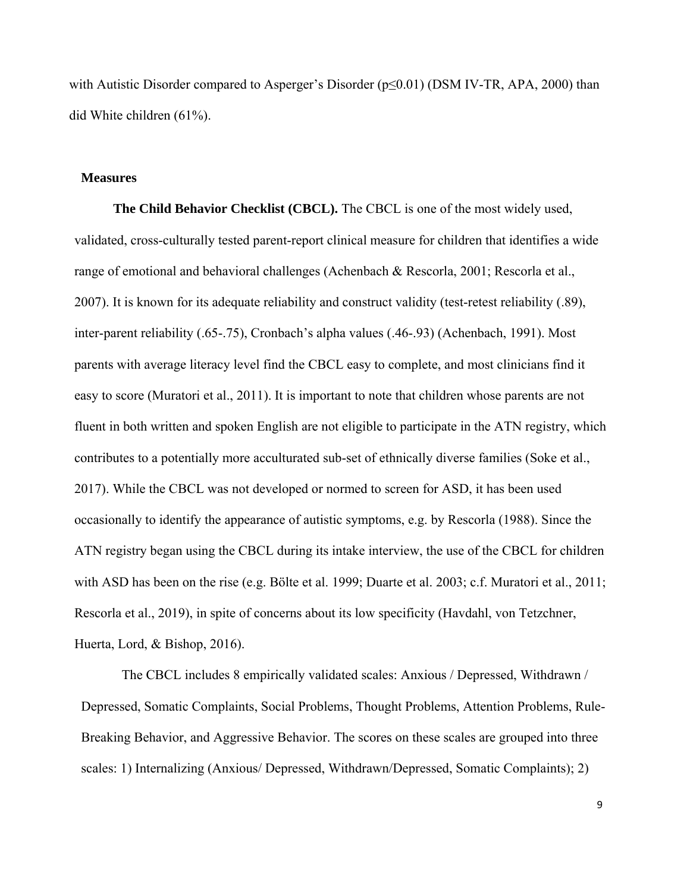with Autistic Disorder compared to Asperger's Disorder ( $p \le 0.01$ ) (DSM IV-TR, APA, 2000) than did White children (61%).

#### **Measures**

**The Child Behavior Checklist (CBCL).** The CBCL is one of the most widely used, validated, cross-culturally tested parent-report clinical measure for children that identifies a wide range of emotional and behavioral challenges (Achenbach & Rescorla, 2001; Rescorla et al., 2007). It is known for its adequate reliability and construct validity (test-retest reliability (.89), inter-parent reliability (.65-.75), Cronbach's alpha values (.46-.93) (Achenbach, 1991). Most parents with average literacy level find the CBCL easy to complete, and most clinicians find it easy to score (Muratori et al., 2011). It is important to note that children whose parents are not fluent in both written and spoken English are not eligible to participate in the ATN registry, which contributes to a potentially more acculturated sub-set of ethnically diverse families (Soke et al., 2017). While the CBCL was not developed or normed to screen for ASD, it has been used occasionally to identify the appearance of autistic symptoms, e.g. by Rescorla (1988). Since the ATN registry began using the CBCL during its intake interview, the use of the CBCL for children with ASD has been on the rise (e.g. Bölte et al. 1999; Duarte et al. 2003; c.f. Muratori et al., 2011; Rescorla et al., 2019), in spite of concerns about its low specificity (Havdahl, von Tetzchner, Huerta, Lord, & Bishop, 2016).

The CBCL includes 8 empirically validated scales: Anxious / Depressed, Withdrawn / Depressed, Somatic Complaints, Social Problems, Thought Problems, Attention Problems, Rule-Breaking Behavior, and Aggressive Behavior. The scores on these scales are grouped into three scales: 1) Internalizing (Anxious/ Depressed, Withdrawn/Depressed, Somatic Complaints); 2)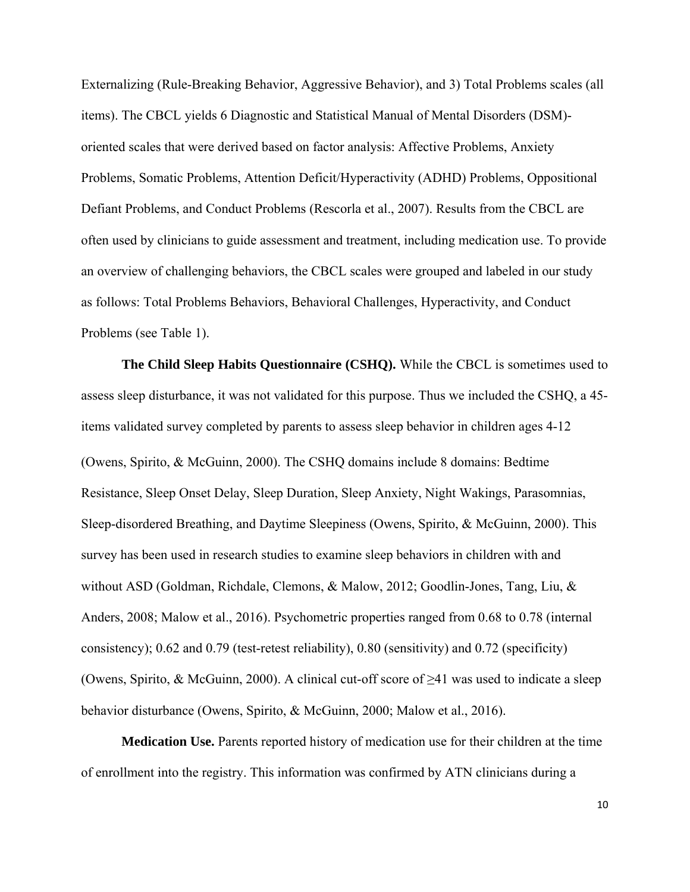Externalizing (Rule-Breaking Behavior, Aggressive Behavior), and 3) Total Problems scales (all items). The CBCL yields 6 Diagnostic and Statistical Manual of Mental Disorders (DSM) oriented scales that were derived based on factor analysis: Affective Problems, Anxiety Problems, Somatic Problems, Attention Deficit/Hyperactivity (ADHD) Problems, Oppositional Defiant Problems, and Conduct Problems (Rescorla et al., 2007). Results from the CBCL are often used by clinicians to guide assessment and treatment, including medication use. To provide an overview of challenging behaviors, the CBCL scales were grouped and labeled in our study as follows: Total Problems Behaviors, Behavioral Challenges, Hyperactivity, and Conduct Problems (see Table 1).

**The Child Sleep Habits Questionnaire (CSHQ).** While the CBCL is sometimes used to assess sleep disturbance, it was not validated for this purpose. Thus we included the CSHQ, a 45 items validated survey completed by parents to assess sleep behavior in children ages 4-12 (Owens, Spirito, & McGuinn, 2000). The CSHQ domains include 8 domains: Bedtime Resistance, Sleep Onset Delay, Sleep Duration, Sleep Anxiety, Night Wakings, Parasomnias, Sleep-disordered Breathing, and Daytime Sleepiness (Owens, Spirito, & McGuinn, 2000). This survey has been used in research studies to examine sleep behaviors in children with and without ASD (Goldman, Richdale, Clemons, & Malow, 2012; Goodlin-Jones, Tang, Liu, & Anders, 2008; Malow et al., 2016). Psychometric properties ranged from 0.68 to 0.78 (internal consistency); 0.62 and 0.79 (test-retest reliability), 0.80 (sensitivity) and 0.72 (specificity) (Owens, Spirito, & McGuinn, 2000). A clinical cut-off score of  $\geq 41$  was used to indicate a sleep behavior disturbance (Owens, Spirito, & McGuinn, 2000; Malow et al., 2016).

**Medication Use.** Parents reported history of medication use for their children at the time of enrollment into the registry. This information was confirmed by ATN clinicians during a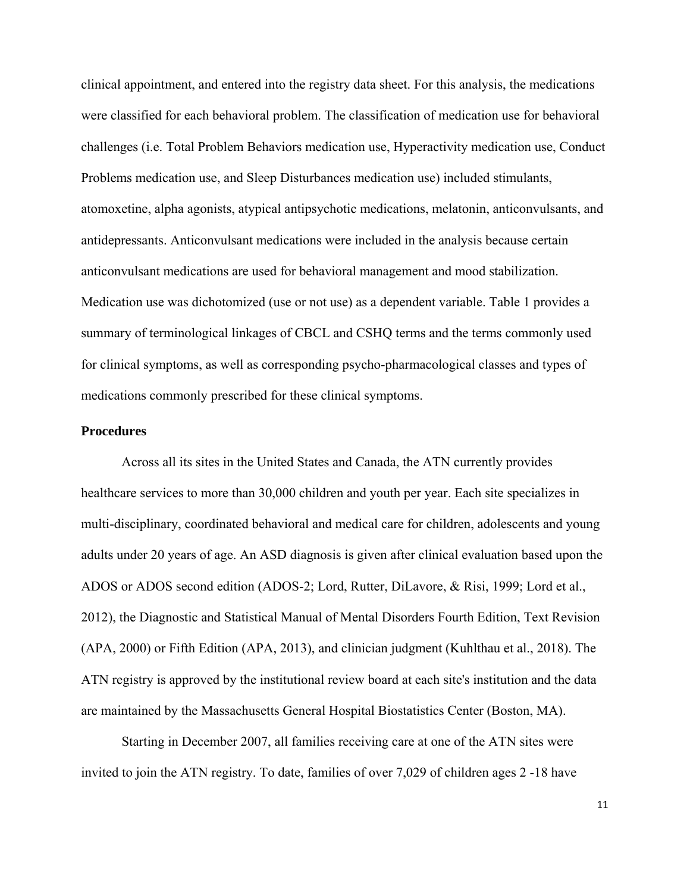clinical appointment, and entered into the registry data sheet. For this analysis, the medications were classified for each behavioral problem. The classification of medication use for behavioral challenges (i.e. Total Problem Behaviors medication use, Hyperactivity medication use, Conduct Problems medication use, and Sleep Disturbances medication use) included stimulants, atomoxetine, alpha agonists, atypical antipsychotic medications, melatonin, anticonvulsants, and antidepressants. Anticonvulsant medications were included in the analysis because certain anticonvulsant medications are used for behavioral management and mood stabilization. Medication use was dichotomized (use or not use) as a dependent variable. Table 1 provides a summary of terminological linkages of CBCL and CSHQ terms and the terms commonly used for clinical symptoms, as well as corresponding psycho-pharmacological classes and types of medications commonly prescribed for these clinical symptoms.

#### **Procedures**

Across all its sites in the United States and Canada, the ATN currently provides healthcare services to more than 30,000 children and youth per year. Each site specializes in multi-disciplinary, coordinated behavioral and medical care for children, adolescents and young adults under 20 years of age. An ASD diagnosis is given after clinical evaluation based upon the ADOS or ADOS second edition (ADOS-2; Lord, Rutter, DiLavore, & Risi, 1999; Lord et al., 2012), the Diagnostic and Statistical Manual of Mental Disorders Fourth Edition, Text Revision (APA, 2000) or Fifth Edition (APA, 2013), and clinician judgment (Kuhlthau et al., 2018). The ATN registry is approved by the institutional review board at each site's institution and the data are maintained by the Massachusetts General Hospital Biostatistics Center (Boston, MA).

Starting in December 2007, all families receiving care at one of the ATN sites were invited to join the ATN registry. To date, families of over 7,029 of children ages 2 -18 have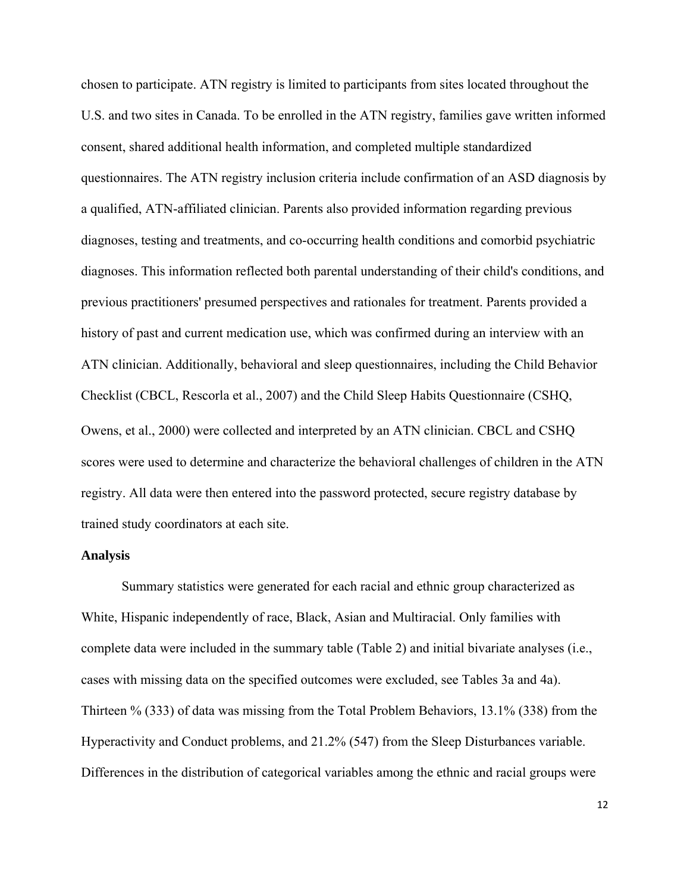chosen to participate. ATN registry is limited to participants from sites located throughout the U.S. and two sites in Canada. To be enrolled in the ATN registry, families gave written informed consent, shared additional health information, and completed multiple standardized questionnaires. The ATN registry inclusion criteria include confirmation of an ASD diagnosis by a qualified, ATN-affiliated clinician. Parents also provided information regarding previous diagnoses, testing and treatments, and co-occurring health conditions and comorbid psychiatric diagnoses. This information reflected both parental understanding of their child's conditions, and previous practitioners' presumed perspectives and rationales for treatment. Parents provided a history of past and current medication use, which was confirmed during an interview with an ATN clinician. Additionally, behavioral and sleep questionnaires, including the Child Behavior Checklist (CBCL, Rescorla et al., 2007) and the Child Sleep Habits Questionnaire (CSHQ, Owens, et al., 2000) were collected and interpreted by an ATN clinician. CBCL and CSHQ scores were used to determine and characterize the behavioral challenges of children in the ATN registry. All data were then entered into the password protected, secure registry database by trained study coordinators at each site.

#### **Analysis**

Summary statistics were generated for each racial and ethnic group characterized as White, Hispanic independently of race, Black, Asian and Multiracial. Only families with complete data were included in the summary table (Table 2) and initial bivariate analyses (i.e., cases with missing data on the specified outcomes were excluded, see Tables 3a and 4a). Thirteen % (333) of data was missing from the Total Problem Behaviors, 13.1% (338) from the Hyperactivity and Conduct problems, and 21.2% (547) from the Sleep Disturbances variable. Differences in the distribution of categorical variables among the ethnic and racial groups were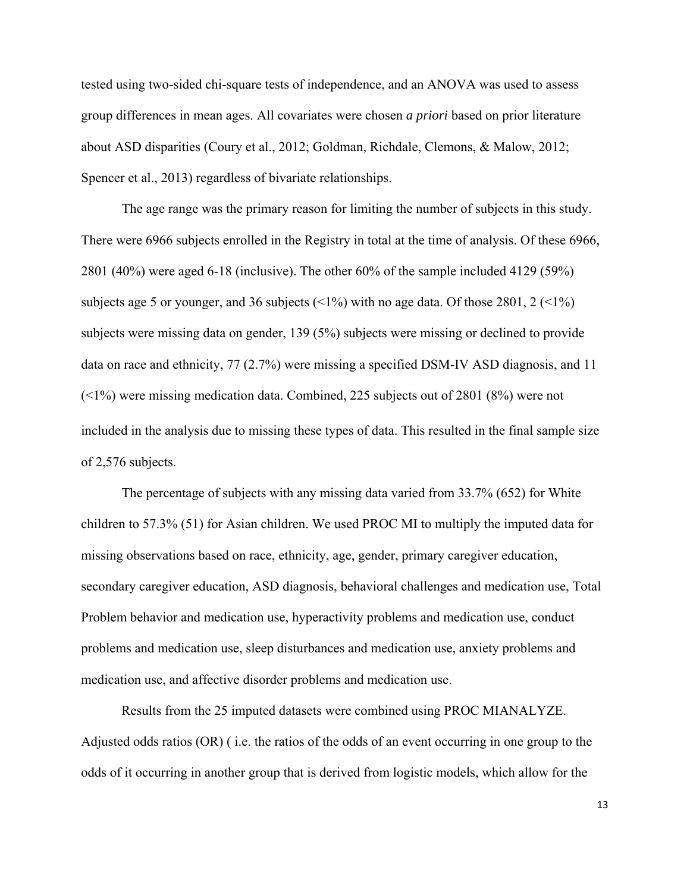tested using two-sided chi-square tests of independence, and an ANOVA was used to assess group differences in mean ages. All covariates were chosen *a priori* based on prior literature about ASD disparities (Coury et al., 2012; Goldman, Richdale, Clemons, & Malow, 2012; Spencer et al., 2013) regardless of bivariate relationships.

The age range was the primary reason for limiting the number of subjects in this study. There were 6966 subjects enrolled in the Registry in total at the time of analysis. Of these 6966, 2801 (40%) were aged 6-18 (inclusive). The other 60% of the sample included 4129 (59%) subjects age 5 or younger, and 36 subjects  $(1\%)$  with no age data. Of those 2801, 2  $(1\%)$ subjects were missing data on gender, 139 (5%) subjects were missing or declined to provide data on race and ethnicity, 77 (2.7%) were missing a specified DSM-IV ASD diagnosis, and 11 (<1%) were missing medication data. Combined, 225 subjects out of 2801 (8%) were not included in the analysis due to missing these types of data. This resulted in the final sample size of 2,576 subjects.

The percentage of subjects with any missing data varied from 33.7% (652) for White children to 57.3% (51) for Asian children. We used PROC MI to multiply the imputed data for missing observations based on race, ethnicity, age, gender, primary caregiver education, secondary caregiver education, ASD diagnosis, behavioral challenges and medication use, Total Problem behavior and medication use, hyperactivity problems and medication use, conduct problems and medication use, sleep disturbances and medication use, anxiety problems and medication use, and affective disorder problems and medication use.

Results from the 25 imputed datasets were combined using PROC MIANALYZE. Adjusted odds ratios (OR) ( i.e. the ratios of the odds of an event occurring in one group to the odds of it occurring in another group that is derived from logistic models, which allow for the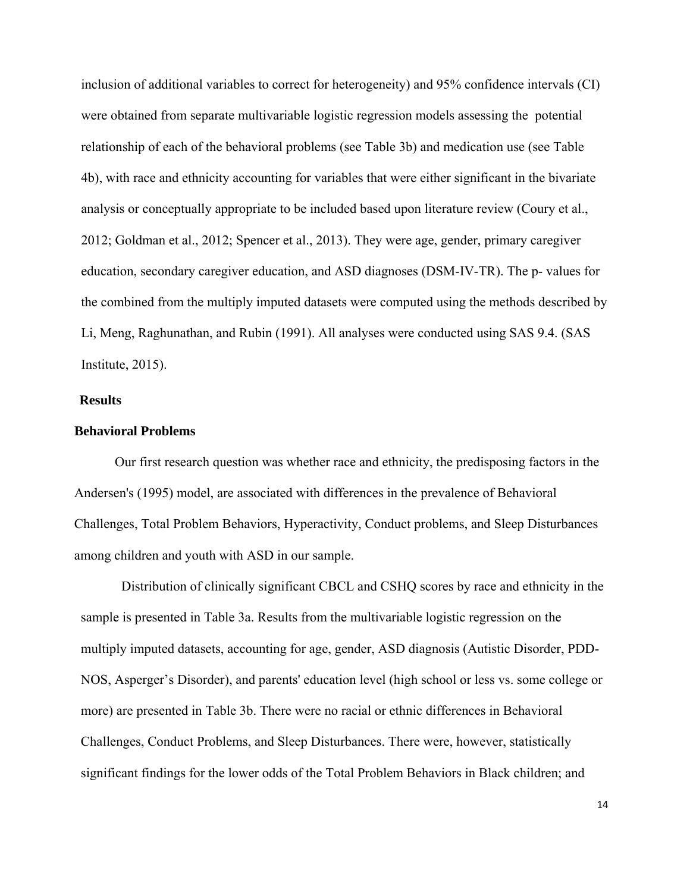inclusion of additional variables to correct for heterogeneity) and 95% confidence intervals (CI) were obtained from separate multivariable logistic regression models assessing the potential relationship of each of the behavioral problems (see Table 3b) and medication use (see Table 4b), with race and ethnicity accounting for variables that were either significant in the bivariate analysis or conceptually appropriate to be included based upon literature review (Coury et al., 2012; Goldman et al., 2012; Spencer et al., 2013). They were age, gender, primary caregiver education, secondary caregiver education, and ASD diagnoses (DSM-IV-TR). The p- values for the combined from the multiply imputed datasets were computed using the methods described by Li, Meng, Raghunathan, and Rubin (1991). All analyses were conducted using SAS 9.4. (SAS Institute, 2015).

#### **Results**

#### **Behavioral Problems**

 Our first research question was whether race and ethnicity, the predisposing factors in the Andersen's (1995) model, are associated with differences in the prevalence of Behavioral Challenges, Total Problem Behaviors, Hyperactivity, Conduct problems, and Sleep Disturbances among children and youth with ASD in our sample.

Distribution of clinically significant CBCL and CSHQ scores by race and ethnicity in the sample is presented in Table 3a. Results from the multivariable logistic regression on the multiply imputed datasets, accounting for age, gender, ASD diagnosis (Autistic Disorder, PDD-NOS, Asperger's Disorder), and parents' education level (high school or less vs. some college or more) are presented in Table 3b. There were no racial or ethnic differences in Behavioral Challenges, Conduct Problems, and Sleep Disturbances. There were, however, statistically significant findings for the lower odds of the Total Problem Behaviors in Black children; and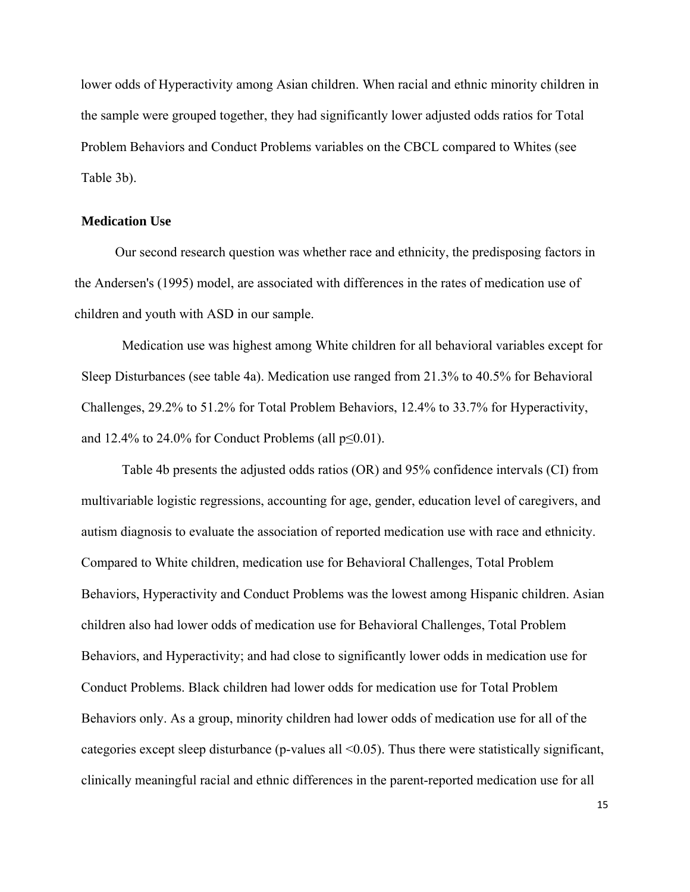lower odds of Hyperactivity among Asian children. When racial and ethnic minority children in the sample were grouped together, they had significantly lower adjusted odds ratios for Total Problem Behaviors and Conduct Problems variables on the CBCL compared to Whites (see Table 3b).

#### **Medication Use**

 Our second research question was whether race and ethnicity, the predisposing factors in the Andersen's (1995) model, are associated with differences in the rates of medication use of children and youth with ASD in our sample.

Medication use was highest among White children for all behavioral variables except for Sleep Disturbances (see table 4a). Medication use ranged from 21.3% to 40.5% for Behavioral Challenges, 29.2% to 51.2% for Total Problem Behaviors, 12.4% to 33.7% for Hyperactivity, and 12.4% to 24.0% for Conduct Problems (all  $p \le 0.01$ ).

Table 4b presents the adjusted odds ratios (OR) and 95% confidence intervals (CI) from multivariable logistic regressions, accounting for age, gender, education level of caregivers, and autism diagnosis to evaluate the association of reported medication use with race and ethnicity. Compared to White children, medication use for Behavioral Challenges, Total Problem Behaviors, Hyperactivity and Conduct Problems was the lowest among Hispanic children. Asian children also had lower odds of medication use for Behavioral Challenges, Total Problem Behaviors, and Hyperactivity; and had close to significantly lower odds in medication use for Conduct Problems. Black children had lower odds for medication use for Total Problem Behaviors only. As a group, minority children had lower odds of medication use for all of the categories except sleep disturbance (p-values all <0.05). Thus there were statistically significant, clinically meaningful racial and ethnic differences in the parent-reported medication use for all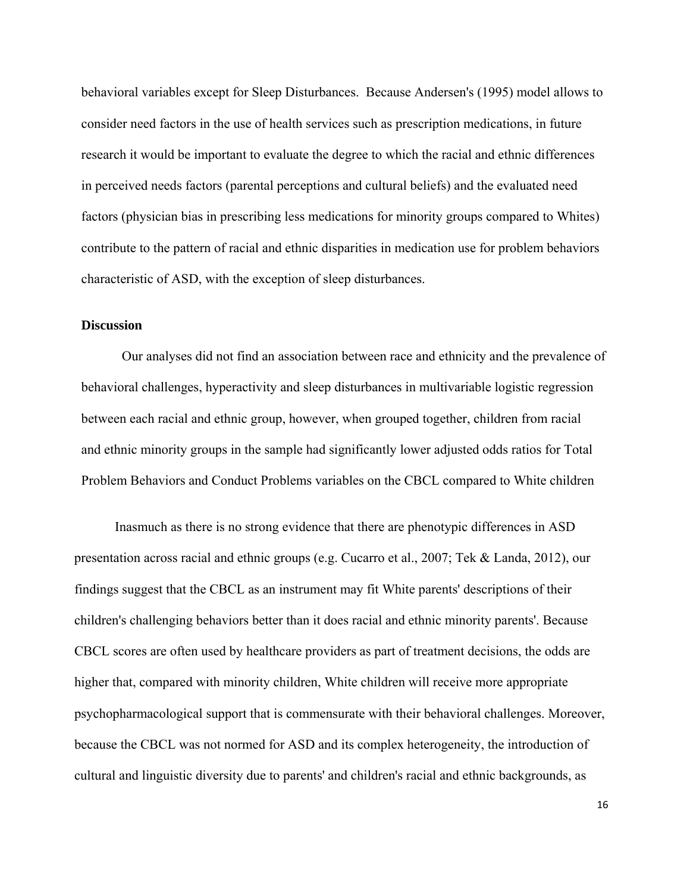behavioral variables except for Sleep Disturbances. Because Andersen's (1995) model allows to consider need factors in the use of health services such as prescription medications, in future research it would be important to evaluate the degree to which the racial and ethnic differences in perceived needs factors (parental perceptions and cultural beliefs) and the evaluated need factors (physician bias in prescribing less medications for minority groups compared to Whites) contribute to the pattern of racial and ethnic disparities in medication use for problem behaviors characteristic of ASD, with the exception of sleep disturbances.

## **Discussion**

Our analyses did not find an association between race and ethnicity and the prevalence of behavioral challenges, hyperactivity and sleep disturbances in multivariable logistic regression between each racial and ethnic group, however, when grouped together, children from racial and ethnic minority groups in the sample had significantly lower adjusted odds ratios for Total Problem Behaviors and Conduct Problems variables on the CBCL compared to White children

 Inasmuch as there is no strong evidence that there are phenotypic differences in ASD presentation across racial and ethnic groups (e.g. Cucarro et al., 2007; Tek & Landa, 2012), our findings suggest that the CBCL as an instrument may fit White parents' descriptions of their children's challenging behaviors better than it does racial and ethnic minority parents'. Because CBCL scores are often used by healthcare providers as part of treatment decisions, the odds are higher that, compared with minority children, White children will receive more appropriate psychopharmacological support that is commensurate with their behavioral challenges. Moreover, because the CBCL was not normed for ASD and its complex heterogeneity, the introduction of cultural and linguistic diversity due to parents' and children's racial and ethnic backgrounds, as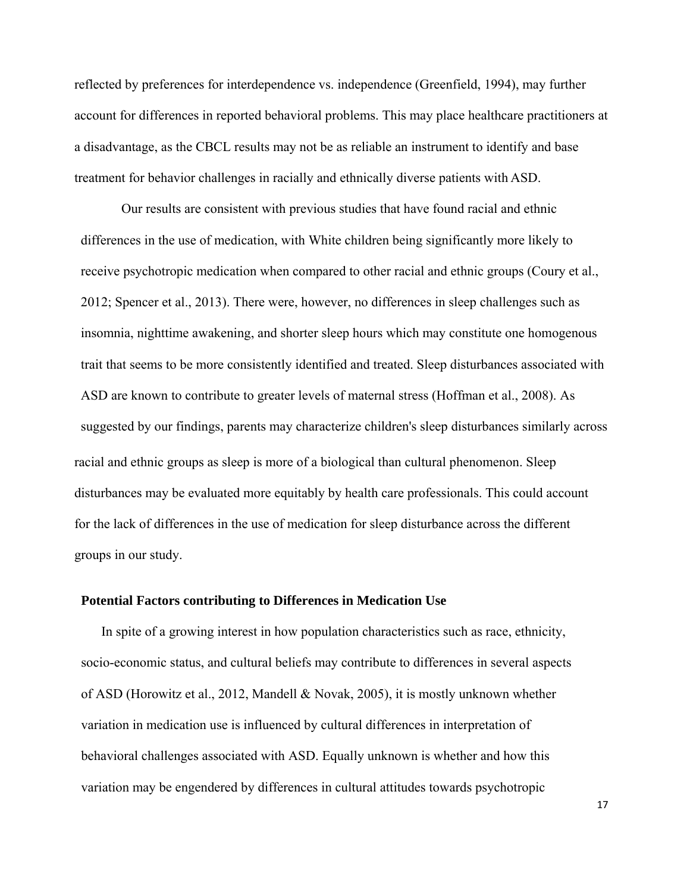reflected by preferences for interdependence vs. independence (Greenfield, 1994), may further account for differences in reported behavioral problems. This may place healthcare practitioners at a disadvantage, as the CBCL results may not be as reliable an instrument to identify and base treatment for behavior challenges in racially and ethnically diverse patients with ASD.

Our results are consistent with previous studies that have found racial and ethnic differences in the use of medication, with White children being significantly more likely to receive psychotropic medication when compared to other racial and ethnic groups (Coury et al., 2012; Spencer et al., 2013). There were, however, no differences in sleep challenges such as insomnia, nighttime awakening, and shorter sleep hours which may constitute one homogenous trait that seems to be more consistently identified and treated. Sleep disturbances associated with ASD are known to contribute to greater levels of maternal stress (Hoffman et al., 2008). As suggested by our findings, parents may characterize children's sleep disturbances similarly across racial and ethnic groups as sleep is more of a biological than cultural phenomenon. Sleep disturbances may be evaluated more equitably by health care professionals. This could account for the lack of differences in the use of medication for sleep disturbance across the different groups in our study.

#### **Potential Factors contributing to Differences in Medication Use**

 In spite of a growing interest in how population characteristics such as race, ethnicity, socio-economic status, and cultural beliefs may contribute to differences in several aspects of ASD (Horowitz et al., 2012, Mandell & Novak, 2005), it is mostly unknown whether variation in medication use is influenced by cultural differences in interpretation of behavioral challenges associated with ASD. Equally unknown is whether and how this variation may be engendered by differences in cultural attitudes towards psychotropic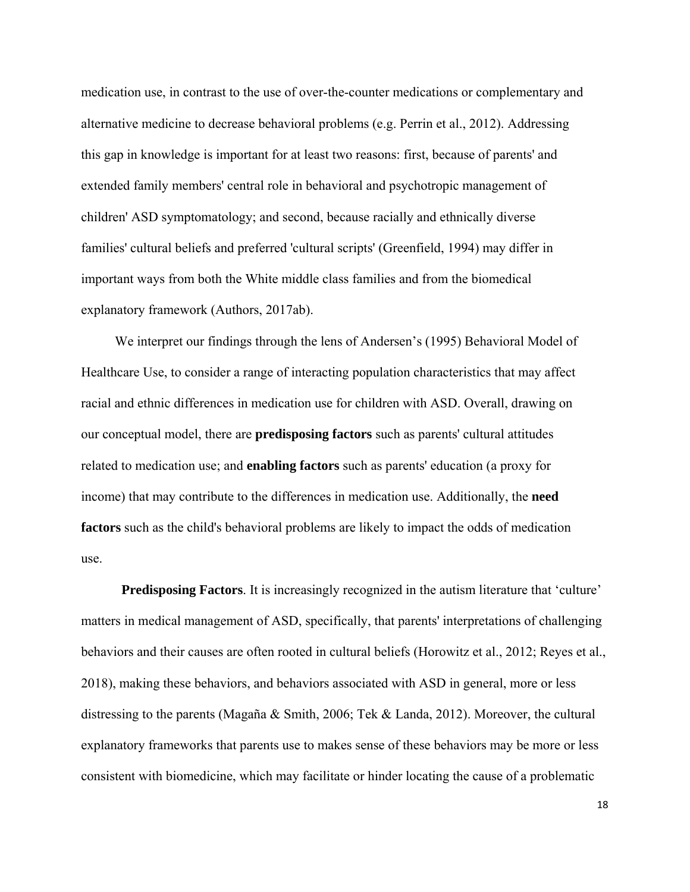medication use, in contrast to the use of over-the-counter medications or complementary and alternative medicine to decrease behavioral problems (e.g. Perrin et al., 2012). Addressing this gap in knowledge is important for at least two reasons: first, because of parents' and extended family members' central role in behavioral and psychotropic management of children' ASD symptomatology; and second, because racially and ethnically diverse families' cultural beliefs and preferred 'cultural scripts' (Greenfield, 1994) may differ in important ways from both the White middle class families and from the biomedical explanatory framework (Authors, 2017ab).

We interpret our findings through the lens of Andersen's (1995) Behavioral Model of Healthcare Use, to consider a range of interacting population characteristics that may affect racial and ethnic differences in medication use for children with ASD. Overall, drawing on our conceptual model, there are **predisposing factors** such as parents' cultural attitudes related to medication use; and **enabling factors** such as parents' education (a proxy for income) that may contribute to the differences in medication use. Additionally, the **need factors** such as the child's behavioral problems are likely to impact the odds of medication use.

**Predisposing Factors**. It is increasingly recognized in the autism literature that 'culture' matters in medical management of ASD, specifically, that parents' interpretations of challenging behaviors and their causes are often rooted in cultural beliefs (Horowitz et al., 2012; Reyes et al., 2018), making these behaviors, and behaviors associated with ASD in general, more or less distressing to the parents (Magaña & Smith, 2006; Tek & Landa, 2012). Moreover, the cultural explanatory frameworks that parents use to makes sense of these behaviors may be more or less consistent with biomedicine, which may facilitate or hinder locating the cause of a problematic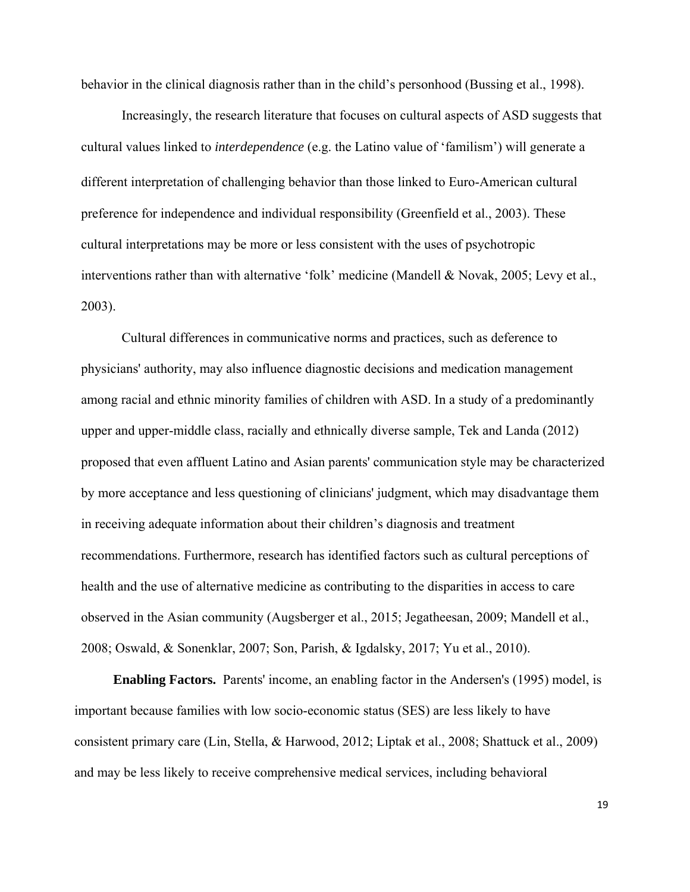behavior in the clinical diagnosis rather than in the child's personhood (Bussing et al., 1998).

Increasingly, the research literature that focuses on cultural aspects of ASD suggests that cultural values linked to *interdependence* (e.g. the Latino value of 'familism') will generate a different interpretation of challenging behavior than those linked to Euro-American cultural preference for independence and individual responsibility (Greenfield et al., 2003). These cultural interpretations may be more or less consistent with the uses of psychotropic interventions rather than with alternative 'folk' medicine (Mandell & Novak, 2005; Levy et al., 2003).

Cultural differences in communicative norms and practices, such as deference to physicians' authority, may also influence diagnostic decisions and medication management among racial and ethnic minority families of children with ASD. In a study of a predominantly upper and upper-middle class, racially and ethnically diverse sample, Tek and Landa (2012) proposed that even affluent Latino and Asian parents' communication style may be characterized by more acceptance and less questioning of clinicians' judgment, which may disadvantage them in receiving adequate information about their children's diagnosis and treatment recommendations. Furthermore, research has identified factors such as cultural perceptions of health and the use of alternative medicine as contributing to the disparities in access to care observed in the Asian community (Augsberger et al., 2015; Jegatheesan, 2009; Mandell et al., 2008; Oswald, & Sonenklar, 2007; Son, Parish, & Igdalsky, 2017; Yu et al., 2010).

**Enabling Factors.** Parents' income, an enabling factor in the Andersen's (1995) model, is important because families with low socio-economic status (SES) are less likely to have consistent primary care (Lin, Stella, & Harwood, 2012; Liptak et al., 2008; Shattuck et al., 2009) and may be less likely to receive comprehensive medical services, including behavioral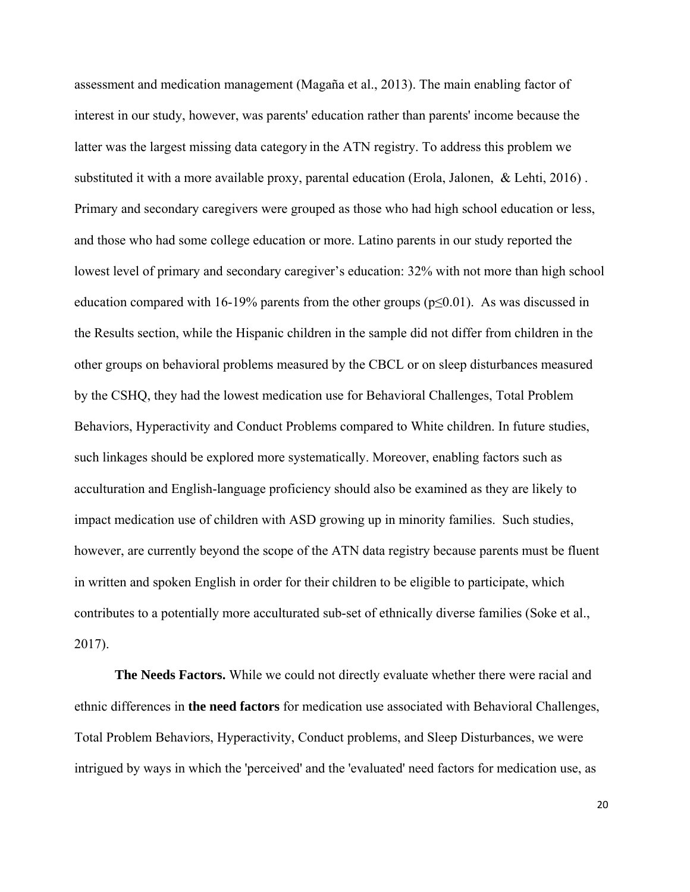assessment and medication management (Magaña et al., 2013). The main enabling factor of interest in our study, however, was parents' education rather than parents' income because the latter was the largest missing data category in the ATN registry. To address this problem we substituted it with a more available proxy, parental education (Erola, Jalonen, & Lehti, 2016) . Primary and secondary caregivers were grouped as those who had high school education or less, and those who had some college education or more. Latino parents in our study reported the lowest level of primary and secondary caregiver's education: 32% with not more than high school education compared with 16-19% parents from the other groups ( $p \le 0.01$ ). As was discussed in the Results section, while the Hispanic children in the sample did not differ from children in the other groups on behavioral problems measured by the CBCL or on sleep disturbances measured by the CSHQ, they had the lowest medication use for Behavioral Challenges, Total Problem Behaviors, Hyperactivity and Conduct Problems compared to White children. In future studies, such linkages should be explored more systematically. Moreover, enabling factors such as acculturation and English-language proficiency should also be examined as they are likely to impact medication use of children with ASD growing up in minority families. Such studies, however, are currently beyond the scope of the ATN data registry because parents must be fluent in written and spoken English in order for their children to be eligible to participate, which contributes to a potentially more acculturated sub-set of ethnically diverse families (Soke et al., 2017).

**The Needs Factors.** While we could not directly evaluate whether there were racial and ethnic differences in **the need factors** for medication use associated with Behavioral Challenges, Total Problem Behaviors, Hyperactivity, Conduct problems, and Sleep Disturbances, we were intrigued by ways in which the 'perceived' and the 'evaluated' need factors for medication use, as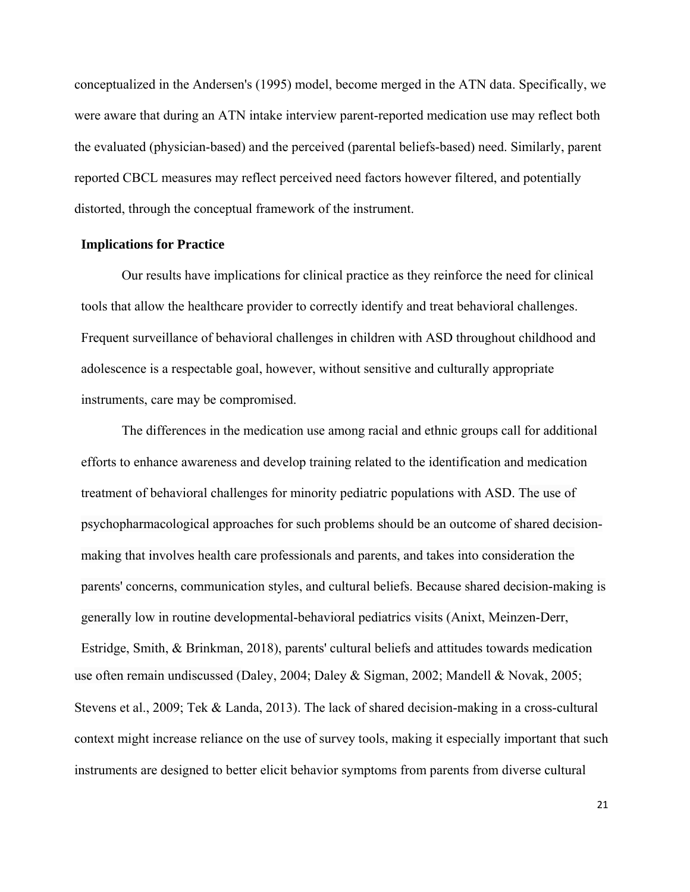conceptualized in the Andersen's (1995) model, become merged in the ATN data. Specifically, we were aware that during an ATN intake interview parent-reported medication use may reflect both the evaluated (physician-based) and the perceived (parental beliefs-based) need. Similarly, parent reported CBCL measures may reflect perceived need factors however filtered, and potentially distorted, through the conceptual framework of the instrument.

#### **Implications for Practice**

Our results have implications for clinical practice as they reinforce the need for clinical tools that allow the healthcare provider to correctly identify and treat behavioral challenges. Frequent surveillance of behavioral challenges in children with ASD throughout childhood and adolescence is a respectable goal, however, without sensitive and culturally appropriate instruments, care may be compromised.

The differences in the medication use among racial and ethnic groups call for additional efforts to enhance awareness and develop training related to the identification and medication treatment of behavioral challenges for minority pediatric populations with ASD. The use of psychopharmacological approaches for such problems should be an outcome of shared decisionmaking that involves health care professionals and parents, and takes into consideration the parents' concerns, communication styles, and cultural beliefs. Because shared decision-making is generally low in routine developmental-behavioral pediatrics visits (Anixt, Meinzen-Derr, Estridge, Smith, & Brinkman, 2018), parents' cultural beliefs and attitudes towards medication use often remain undiscussed (Daley, 2004; Daley & Sigman, 2002; Mandell & Novak, 2005; Stevens et al., 2009; Tek & Landa, 2013). The lack of shared decision-making in a cross-cultural context might increase reliance on the use of survey tools, making it especially important that such instruments are designed to better elicit behavior symptoms from parents from diverse cultural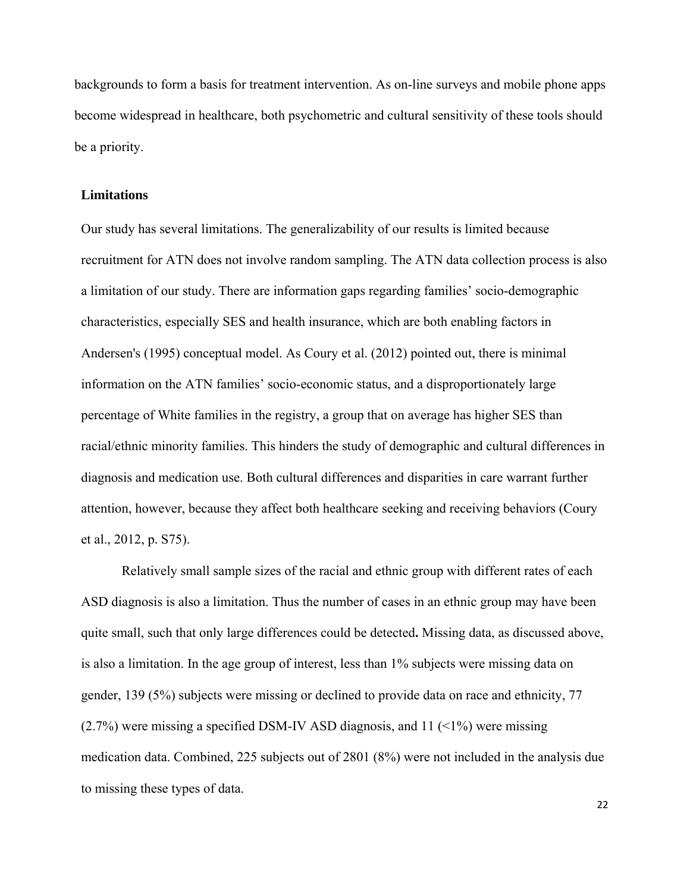backgrounds to form a basis for treatment intervention. As on-line surveys and mobile phone apps become widespread in healthcare, both psychometric and cultural sensitivity of these tools should be a priority.

#### **Limitations**

Our study has several limitations. The generalizability of our results is limited because recruitment for ATN does not involve random sampling. The ATN data collection process is also a limitation of our study. There are information gaps regarding families' socio-demographic characteristics, especially SES and health insurance, which are both enabling factors in Andersen's (1995) conceptual model. As Coury et al. (2012) pointed out, there is minimal information on the ATN families' socio-economic status, and a disproportionately large percentage of White families in the registry, a group that on average has higher SES than racial/ethnic minority families. This hinders the study of demographic and cultural differences in diagnosis and medication use. Both cultural differences and disparities in care warrant further attention, however, because they affect both healthcare seeking and receiving behaviors (Coury et al., 2012, p. S75).

Relatively small sample sizes of the racial and ethnic group with different rates of each ASD diagnosis is also a limitation. Thus the number of cases in an ethnic group may have been quite small, such that only large differences could be detected**.** Missing data, as discussed above, is also a limitation. In the age group of interest, less than 1% subjects were missing data on gender, 139 (5%) subjects were missing or declined to provide data on race and ethnicity, 77  $(2.7\%)$  were missing a specified DSM-IV ASD diagnosis, and 11 (<1%) were missing medication data. Combined, 225 subjects out of 2801 (8%) were not included in the analysis due to missing these types of data.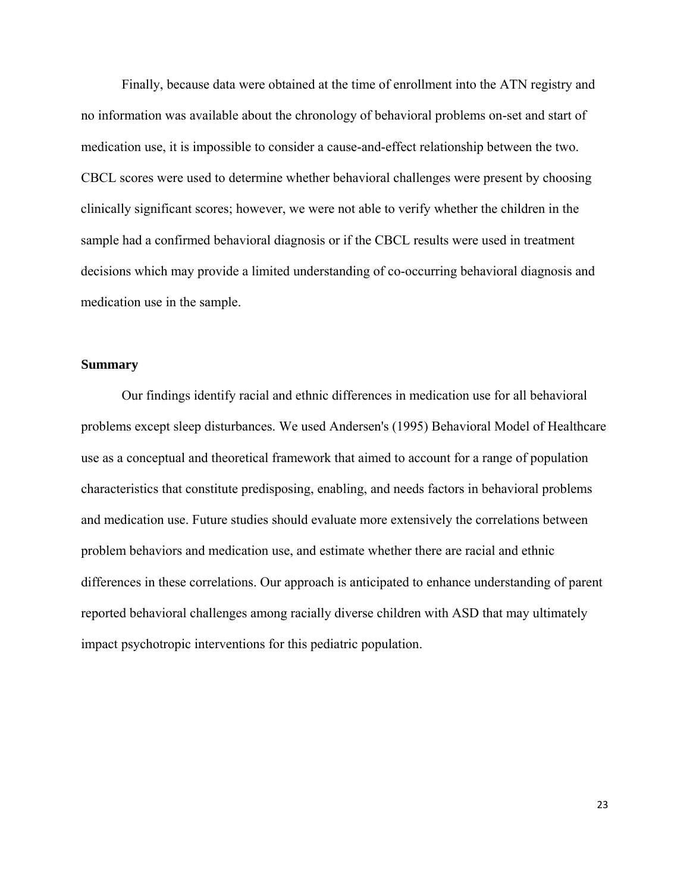Finally, because data were obtained at the time of enrollment into the ATN registry and no information was available about the chronology of behavioral problems on-set and start of medication use, it is impossible to consider a cause-and-effect relationship between the two. CBCL scores were used to determine whether behavioral challenges were present by choosing clinically significant scores; however, we were not able to verify whether the children in the sample had a confirmed behavioral diagnosis or if the CBCL results were used in treatment decisions which may provide a limited understanding of co-occurring behavioral diagnosis and medication use in the sample.

#### **Summary**

Our findings identify racial and ethnic differences in medication use for all behavioral problems except sleep disturbances. We used Andersen's (1995) Behavioral Model of Healthcare use as a conceptual and theoretical framework that aimed to account for a range of population characteristics that constitute predisposing, enabling, and needs factors in behavioral problems and medication use. Future studies should evaluate more extensively the correlations between problem behaviors and medication use, and estimate whether there are racial and ethnic differences in these correlations. Our approach is anticipated to enhance understanding of parent reported behavioral challenges among racially diverse children with ASD that may ultimately impact psychotropic interventions for this pediatric population.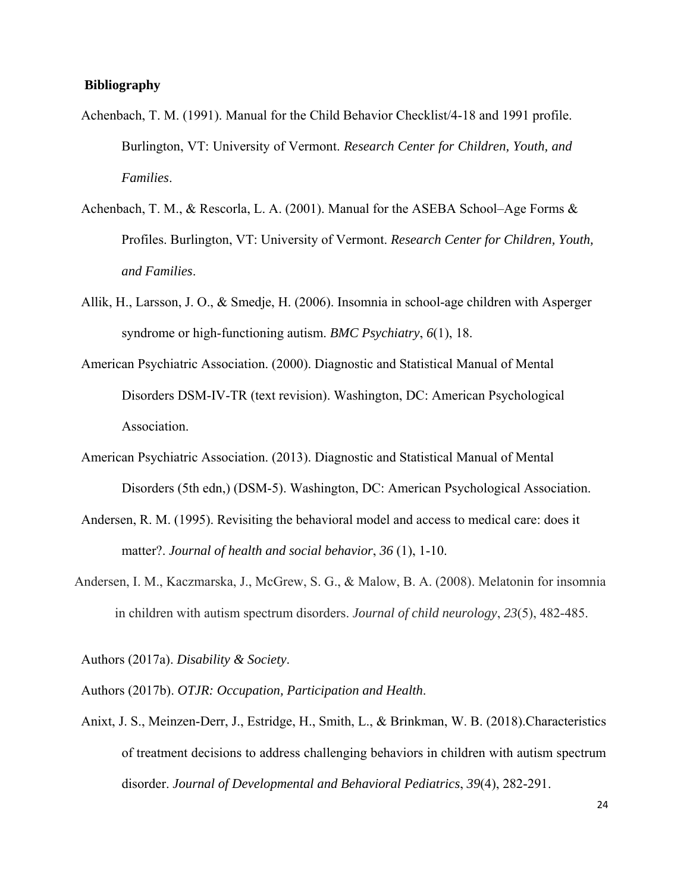#### **Bibliography**

- Achenbach, T. M. (1991). Manual for the Child Behavior Checklist/4-18 and 1991 profile. Burlington, VT: University of Vermont. *Research Center for Children, Youth, and Families*.
- Achenbach, T. M., & Rescorla, L. A. (2001). Manual for the ASEBA School–Age Forms & Profiles. Burlington, VT: University of Vermont. *Research Center for Children, Youth, and Families*.
- Allik, H., Larsson, J. O., & Smedje, H. (2006). Insomnia in school-age children with Asperger syndrome or high-functioning autism. *BMC Psychiatry*, *6*(1), 18.
- American Psychiatric Association. (2000). Diagnostic and Statistical Manual of Mental Disorders DSM-IV-TR (text revision). Washington, DC: American Psychological Association.
- American Psychiatric Association. (2013). Diagnostic and Statistical Manual of Mental Disorders (5th edn,) (DSM-5). Washington, DC: American Psychological Association.
- Andersen, R. M. (1995). Revisiting the behavioral model and access to medical care: does it matter?. *Journal of health and social behavior*, *36* (1), 1-10.
- Andersen, I. M., Kaczmarska, J., McGrew, S. G., & Malow, B. A. (2008). Melatonin for insomnia in children with autism spectrum disorders. *Journal of child neurology*, *23*(5), 482-485.

Authors (2017a). *Disability & Society*.

Authors (2017b). *OTJR: Occupation, Participation and Health*.

Anixt, J. S., Meinzen-Derr, J., Estridge, H., Smith, L., & Brinkman, W. B. (2018).Characteristics of treatment decisions to address challenging behaviors in children with autism spectrum disorder. *Journal of Developmental and Behavioral Pediatrics*, *39*(4), 282-291.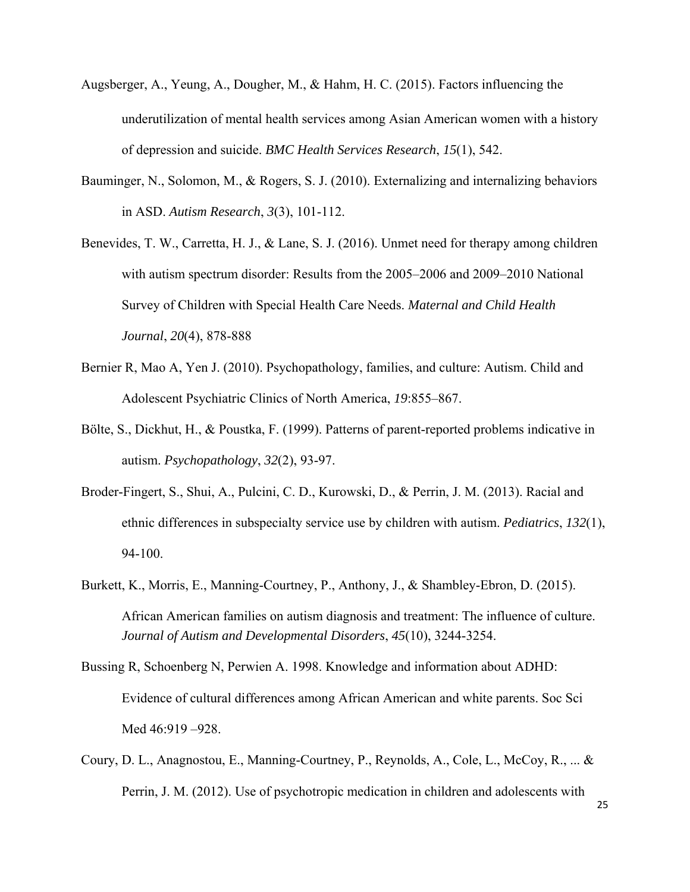- Augsberger, A., Yeung, A., Dougher, M., & Hahm, H. C. (2015). Factors influencing the underutilization of mental health services among Asian American women with a history of depression and suicide. *BMC Health Services Research*, *15*(1), 542.
- Bauminger, N., Solomon, M., & Rogers, S. J. (2010). Externalizing and internalizing behaviors in ASD. *Autism Research*, *3*(3), 101-112.
- Benevides, T. W., Carretta, H. J., & Lane, S. J. (2016). Unmet need for therapy among children with autism spectrum disorder: Results from the 2005–2006 and 2009–2010 National Survey of Children with Special Health Care Needs. *Maternal and Child Health Journal*, *20*(4), 878-888
- Bernier R, Mao A, Yen J. (2010). Psychopathology, families, and culture: Autism. Child and Adolescent Psychiatric Clinics of North America, *19*:855–867.
- Bölte, S., Dickhut, H., & Poustka, F. (1999). Patterns of parent-reported problems indicative in autism. *Psychopathology*, *32*(2), 93-97.
- Broder-Fingert, S., Shui, A., Pulcini, C. D., Kurowski, D., & Perrin, J. M. (2013). Racial and ethnic differences in subspecialty service use by children with autism. *Pediatrics*, *132*(1), 94-100.
- Burkett, K., Morris, E., Manning-Courtney, P., Anthony, J., & Shambley-Ebron, D. (2015). African American families on autism diagnosis and treatment: The influence of culture. *Journal of Autism and Developmental Disorders*, *45*(10), 3244-3254.
- Bussing R, Schoenberg N, Perwien A. 1998. Knowledge and information about ADHD: Evidence of cultural differences among African American and white parents. Soc Sci Med 46:919 –928.
- Coury, D. L., Anagnostou, E., Manning-Courtney, P., Reynolds, A., Cole, L., McCoy, R., ... & Perrin, J. M. (2012). Use of psychotropic medication in children and adolescents with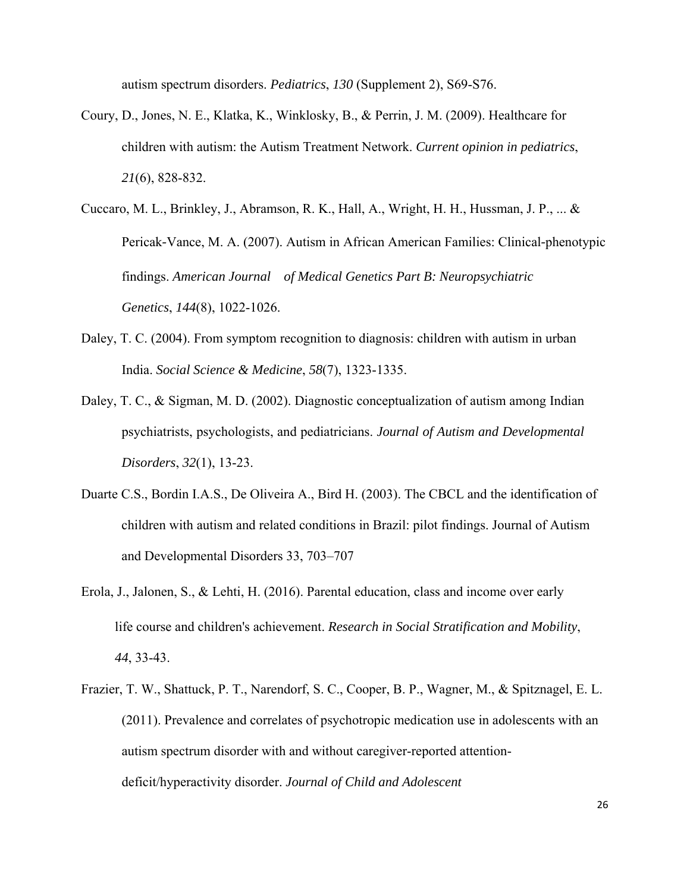autism spectrum disorders. *Pediatrics*, *130* (Supplement 2), S69-S76.

- Coury, D., Jones, N. E., Klatka, K., Winklosky, B., & Perrin, J. M. (2009). Healthcare for children with autism: the Autism Treatment Network. *Current opinion in pediatrics*, *21*(6), 828-832.
- Cuccaro, M. L., Brinkley, J., Abramson, R. K., Hall, A., Wright, H. H., Hussman, J. P., ... & Pericak‐Vance, M. A. (2007). Autism in African American Families: Clinical‐phenotypic findings. *American Journal of Medical Genetics Part B: Neuropsychiatric Genetics*, *144*(8), 1022-1026.
- Daley, T. C. (2004). From symptom recognition to diagnosis: children with autism in urban India. *Social Science & Medicine*, *58*(7), 1323-1335.
- Daley, T. C., & Sigman, M. D. (2002). Diagnostic conceptualization of autism among Indian psychiatrists, psychologists, and pediatricians. *Journal of Autism and Developmental Disorders*, *32*(1), 13-23.
- Duarte C.S., Bordin I.A.S., De Oliveira A., Bird H. (2003). The CBCL and the identification of children with autism and related conditions in Brazil: pilot findings. Journal of Autism and Developmental Disorders 33, 703–707
- Erola, J., Jalonen, S., & Lehti, H. (2016). Parental education, class and income over early life course and children's achievement. *Research in Social Stratification and Mobility*, *44*, 33-43.
- Frazier, T. W., Shattuck, P. T., Narendorf, S. C., Cooper, B. P., Wagner, M., & Spitznagel, E. L. (2011). Prevalence and correlates of psychotropic medication use in adolescents with an autism spectrum disorder with and without caregiver-reported attentiondeficit/hyperactivity disorder. *Journal of Child and Adolescent*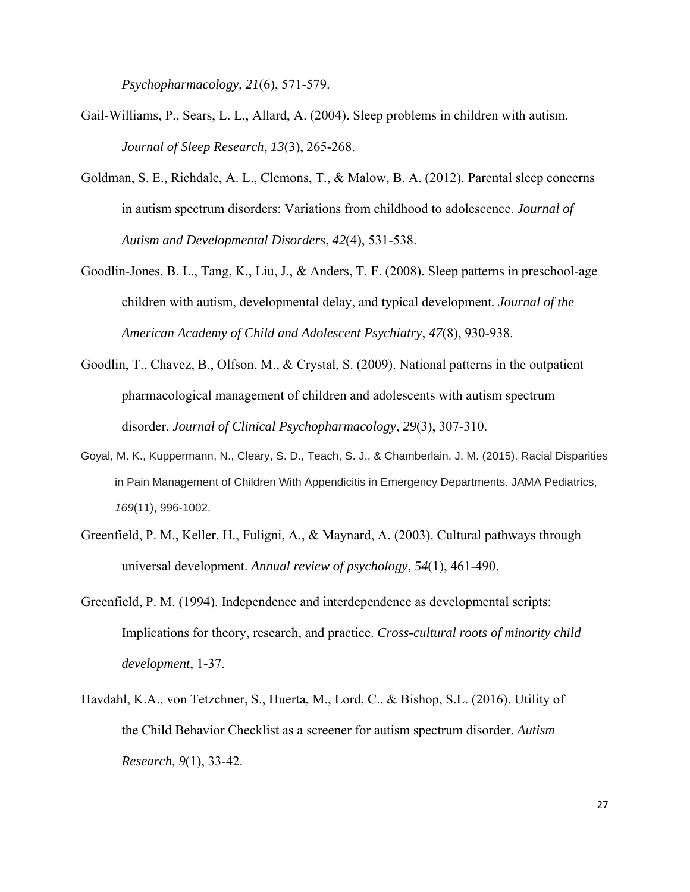*Psychopharmacology*, *21*(6), 571-579.

- Gail-Williams, P., Sears, L. L., Allard, A. (2004). Sleep problems in children with autism. *Journal of Sleep Research*, *13*(3), 265-268.
- Goldman, S. E., Richdale, A. L., Clemons, T., & Malow, B. A. (2012). Parental sleep concerns in autism spectrum disorders: Variations from childhood to adolescence. *Journal of Autism and Developmental Disorders*, *42*(4), 531-538.
- Goodlin-Jones, B. L., Tang, K., Liu, J., & Anders, T. F. (2008). Sleep patterns in preschool-age children with autism, developmental delay, and typical development*. Journal of the American Academy of Child and Adolescent Psychiatry*, *47*(8), 930-938.
- Goodlin, T., Chavez, B., Olfson, M., & Crystal, S. (2009). National patterns in the outpatient pharmacological management of children and adolescents with autism spectrum disorder. *Journal of Clinical Psychopharmacology*, *29*(3), 307-310.
- Goyal, M. K., Kuppermann, N., Cleary, S. D., Teach, S. J., & Chamberlain, J. M. (2015). Racial Disparities in Pain Management of Children With Appendicitis in Emergency Departments. JAMA Pediatrics, *169*(11), 996-1002.
- Greenfield, P. M., Keller, H., Fuligni, A., & Maynard, A. (2003). Cultural pathways through universal development. *Annual review of psychology*, *54*(1), 461-490.
- Greenfield, P. M. (1994). Independence and interdependence as developmental scripts: Implications for theory, research, and practice. *Cross-cultural roots of minority child development*, 1-37.
- Havdahl, K.A., von Tetzchner, S., Huerta, M., Lord, C., & Bishop, S.L. (2016). Utility of the Child Behavior Checklist as a screener for autism spectrum disorder. *Autism Research, 9*(1), 33-42.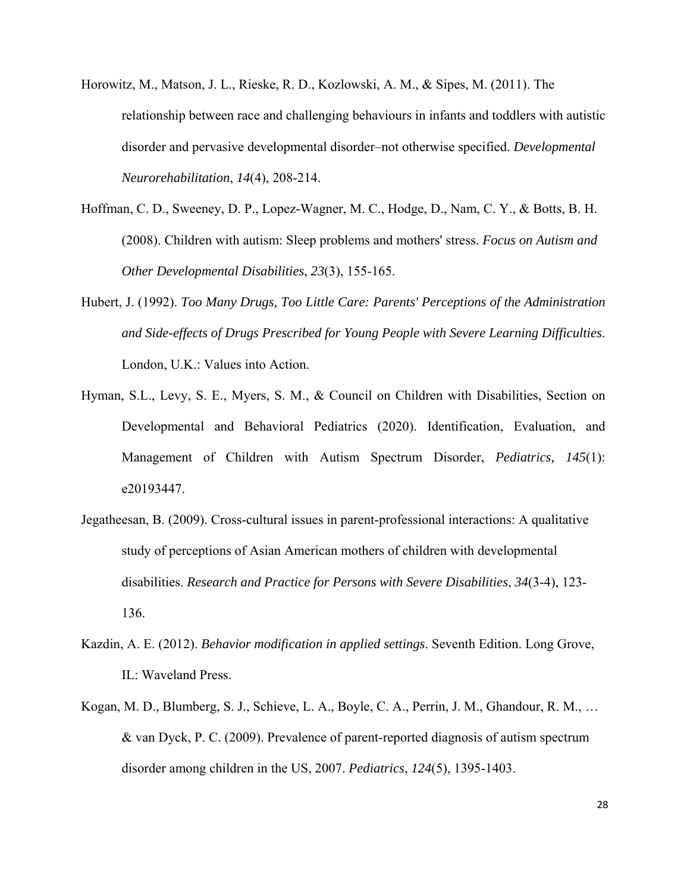- Horowitz, M., Matson, J. L., Rieske, R. D., Kozlowski, A. M., & Sipes, M. (2011). The relationship between race and challenging behaviours in infants and toddlers with autistic disorder and pervasive developmental disorder–not otherwise specified. *Developmental Neurorehabilitation*, *14*(4), 208-214.
- Hoffman, C. D., Sweeney, D. P., Lopez-Wagner, M. C., Hodge, D., Nam, C. Y., & Botts, B. H. (2008). Children with autism: Sleep problems and mothers' stress. *Focus on Autism and Other Developmental Disabilities*, *23*(3), 155-165.
- Hubert, J. (1992). *Too Many Drugs, Too Little Care: Parents' Perceptions of the Administration and Side-effects of Drugs Prescribed for Young People with Severe Learning Difficulties*. London, U.K.: Values into Action.
- Hyman, S.L., Levy, S. E., Myers, S. M., & Council on Children with Disabilities, Section on Developmental and Behavioral Pediatrics (2020). Identification, Evaluation, and Management of Children with Autism Spectrum Disorder, *Pediatrics, 145*(1): e20193447.
- Jegatheesan, B. (2009). Cross-cultural issues in parent-professional interactions: A qualitative study of perceptions of Asian American mothers of children with developmental disabilities. *Research and Practice for Persons with Severe Disabilities*, *34*(3-4), 123- 136.
- Kazdin, A. E. (2012). *Behavior modification in applied settings*. Seventh Edition. Long Grove, IL: Waveland Press.
- Kogan, M. D., Blumberg, S. J., Schieve, L. A., Boyle, C. A., Perrin, J. M., Ghandour, R. M., … & van Dyck, P. C. (2009). Prevalence of parent-reported diagnosis of autism spectrum disorder among children in the US, 2007. *Pediatrics*, *124*(5), 1395-1403.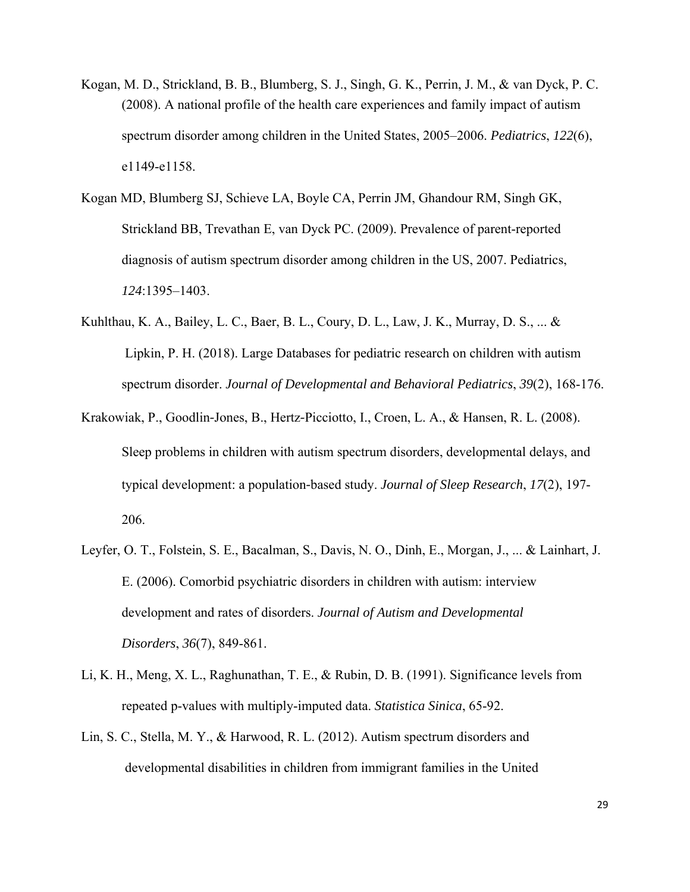- Kogan, M. D., Strickland, B. B., Blumberg, S. J., Singh, G. K., Perrin, J. M., & van Dyck, P. C. (2008). A national profile of the health care experiences and family impact of autism spectrum disorder among children in the United States, 2005–2006. *Pediatrics*, *122*(6), e1149-e1158.
- Kogan MD, Blumberg SJ, Schieve LA, Boyle CA, Perrin JM, Ghandour RM, Singh GK, Strickland BB, Trevathan E, van Dyck PC. (2009). Prevalence of parent-reported diagnosis of autism spectrum disorder among children in the US, 2007. Pediatrics, *124*:1395–1403.
- Kuhlthau, K. A., Bailey, L. C., Baer, B. L., Coury, D. L., Law, J. K., Murray, D. S., ... & Lipkin, P. H. (2018). Large Databases for pediatric research on children with autism spectrum disorder. *Journal of Developmental and Behavioral Pediatrics*, *39*(2), 168-176.
- Krakowiak, P., Goodlin-Jones, B., Hertz-Picciotto, I., Croen, L. A., & Hansen, R. L. (2008). Sleep problems in children with autism spectrum disorders, developmental delays, and typical development: a population‐based study. *Journal of Sleep Research*, *17*(2), 197- 206.
- Leyfer, O. T., Folstein, S. E., Bacalman, S., Davis, N. O., Dinh, E., Morgan, J., ... & Lainhart, J. E. (2006). Comorbid psychiatric disorders in children with autism: interview development and rates of disorders. *Journal of Autism and Developmental Disorders*, *36*(7), 849-861.
- Li, K. H., Meng, X. L., Raghunathan, T. E., & Rubin, D. B. (1991). Significance levels from repeated p-values with multiply-imputed data. *Statistica Sinica*, 65-92.
- Lin, S. C., Stella, M. Y., & Harwood, R. L. (2012). Autism spectrum disorders and developmental disabilities in children from immigrant families in the United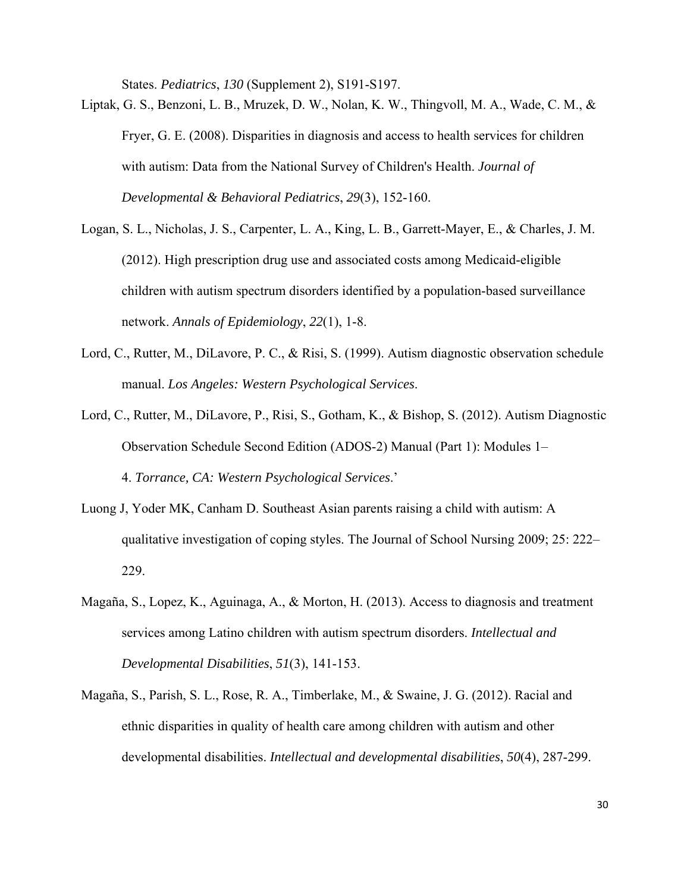States. *Pediatrics*, *130* (Supplement 2), S191-S197.

Liptak, G. S., Benzoni, L. B., Mruzek, D. W., Nolan, K. W., Thingvoll, M. A., Wade, C. M., & Fryer, G. E. (2008). Disparities in diagnosis and access to health services for children with autism: Data from the National Survey of Children's Health. *Journal of Developmental & Behavioral Pediatrics*, *29*(3), 152-160.

- Logan, S. L., Nicholas, J. S., Carpenter, L. A., King, L. B., Garrett-Mayer, E., & Charles, J. M. (2012). High prescription drug use and associated costs among Medicaid-eligible children with autism spectrum disorders identified by a population-based surveillance network. *Annals of Epidemiology*, *22*(1), 1-8.
- Lord, C., Rutter, M., DiLavore, P. C., & Risi, S. (1999). Autism diagnostic observation schedule manual. *Los Angeles: Western Psychological Services*.
- Lord, C., Rutter, M., DiLavore, P., Risi, S., Gotham, K., & Bishop, S. (2012). Autism Diagnostic Observation Schedule Second Edition (ADOS-2) Manual (Part 1): Modules 1– 4. *Torrance, CA: Western Psychological Services*.'
- Luong J, Yoder MK, Canham D. Southeast Asian parents raising a child with autism: A qualitative investigation of coping styles. The Journal of School Nursing 2009; 25: 222– 229.
- Magaña, S., Lopez, K., Aguinaga, A., & Morton, H. (2013). Access to diagnosis and treatment services among Latino children with autism spectrum disorders. *Intellectual and Developmental Disabilities*, *51*(3), 141-153.
- Magaña, S., Parish, S. L., Rose, R. A., Timberlake, M., & Swaine, J. G. (2012). Racial and ethnic disparities in quality of health care among children with autism and other developmental disabilities. *Intellectual and developmental disabilities*, *50*(4), 287-299.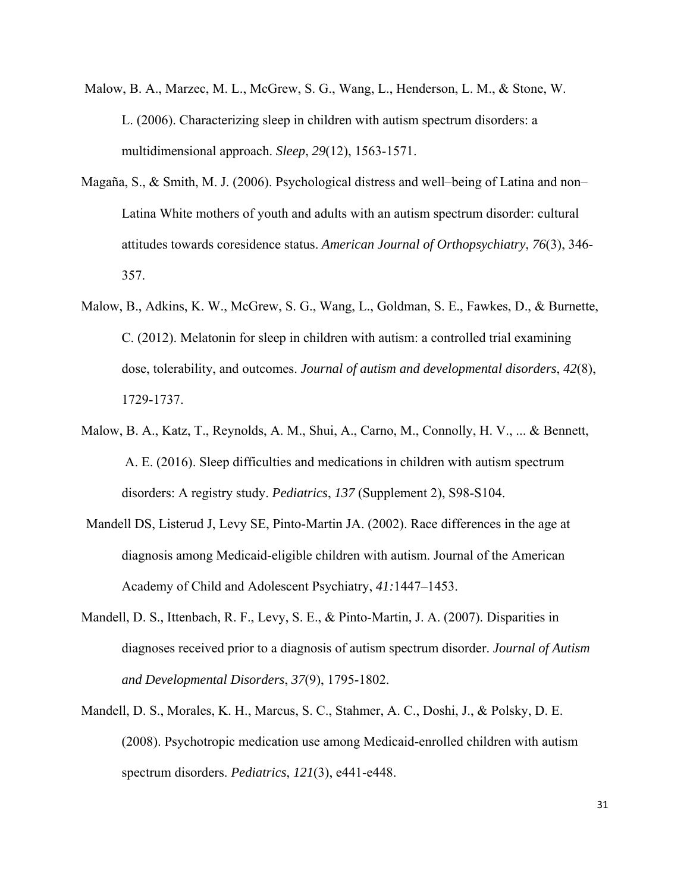- Malow, B. A., Marzec, M. L., McGrew, S. G., Wang, L., Henderson, L. M., & Stone, W. L. (2006). Characterizing sleep in children with autism spectrum disorders: a multidimensional approach. *Sleep*, *29*(12), 1563-1571.
- Magaña, S., & Smith, M. J. (2006). Psychological distress and well–being of Latina and non– Latina White mothers of youth and adults with an autism spectrum disorder: cultural attitudes towards coresidence status. *American Journal of Orthopsychiatry*, *76*(3), 346- 357.
- Malow, B., Adkins, K. W., McGrew, S. G., Wang, L., Goldman, S. E., Fawkes, D., & Burnette, C. (2012). Melatonin for sleep in children with autism: a controlled trial examining dose, tolerability, and outcomes. *Journal of autism and developmental disorders*, *42*(8), 1729-1737.
- Malow, B. A., Katz, T., Reynolds, A. M., Shui, A., Carno, M., Connolly, H. V., ... & Bennett, A. E. (2016). Sleep difficulties and medications in children with autism spectrum disorders: A registry study. *Pediatrics*, *137* (Supplement 2), S98-S104.
- Mandell DS, Listerud J, Levy SE, Pinto-Martin JA. (2002). Race differences in the age at diagnosis among Medicaid-eligible children with autism. Journal of the American Academy of Child and Adolescent Psychiatry, *41:*1447–1453.
- Mandell, D. S., Ittenbach, R. F., Levy, S. E., & Pinto-Martin, J. A. (2007). Disparities in diagnoses received prior to a diagnosis of autism spectrum disorder. *Journal of Autism and Developmental Disorders*, *37*(9), 1795-1802.
- Mandell, D. S., Morales, K. H., Marcus, S. C., Stahmer, A. C., Doshi, J., & Polsky, D. E. (2008). Psychotropic medication use among Medicaid-enrolled children with autism spectrum disorders. *Pediatrics*, *121*(3), e441-e448.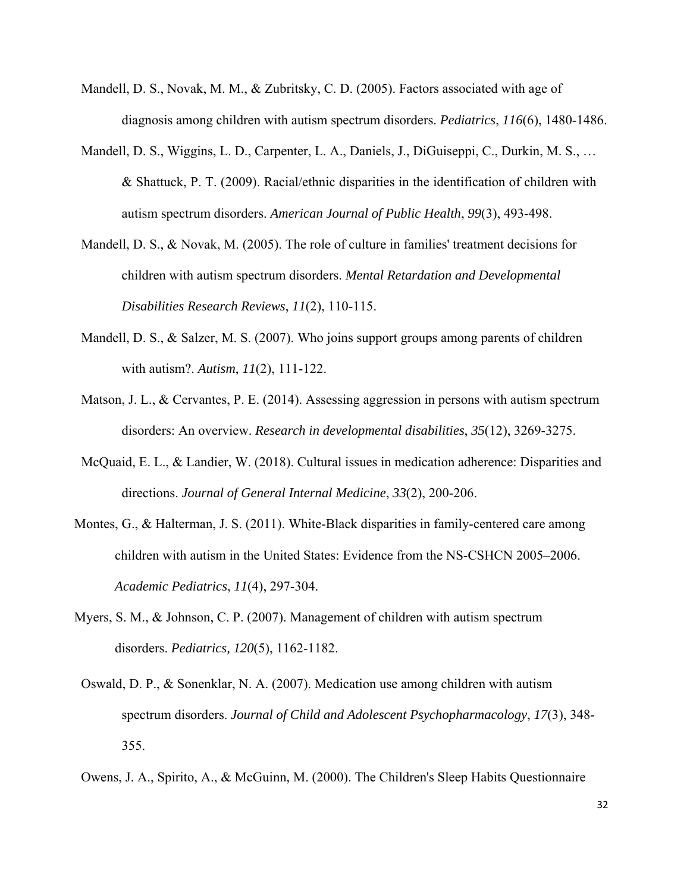- Mandell, D. S., Novak, M. M., & Zubritsky, C. D. (2005). Factors associated with age of diagnosis among children with autism spectrum disorders. *Pediatrics*, *116*(6), 1480-1486.
- Mandell, D. S., Wiggins, L. D., Carpenter, L. A., Daniels, J., DiGuiseppi, C., Durkin, M. S., … & Shattuck, P. T. (2009). Racial/ethnic disparities in the identification of children with autism spectrum disorders. *American Journal of Public Health*, *99*(3), 493-498.
- Mandell, D. S., & Novak, M. (2005). The role of culture in families' treatment decisions for children with autism spectrum disorders. *Mental Retardation and Developmental Disabilities Research Reviews*, *11*(2), 110-115.
- Mandell, D. S., & Salzer, M. S. (2007). Who joins support groups among parents of children with autism?. *Autism*, *11*(2), 111-122.
- Matson, J. L., & Cervantes, P. E. (2014). Assessing aggression in persons with autism spectrum disorders: An overview. *Research in developmental disabilities*, *35*(12), 3269-3275.
- McQuaid, E. L., & Landier, W. (2018). Cultural issues in medication adherence: Disparities and directions. *Journal of General Internal Medicine*, *33*(2), 200-206.
- Montes, G., & Halterman, J. S. (2011). White-Black disparities in family-centered care among children with autism in the United States: Evidence from the NS-CSHCN 2005–2006. *Academic Pediatrics*, *11*(4), 297-304.
- Myers, S. M., & Johnson, C. P. (2007). Management of children with autism spectrum disorders. *Pediatrics, 120*(5), 1162-1182.
- Oswald, D. P., & Sonenklar, N. A. (2007). Medication use among children with autism spectrum disorders. *Journal of Child and Adolescent Psychopharmacology*, *17*(3), 348- 355.
- Owens, J. A., Spirito, A., & McGuinn, M. (2000). The Children's Sleep Habits Questionnaire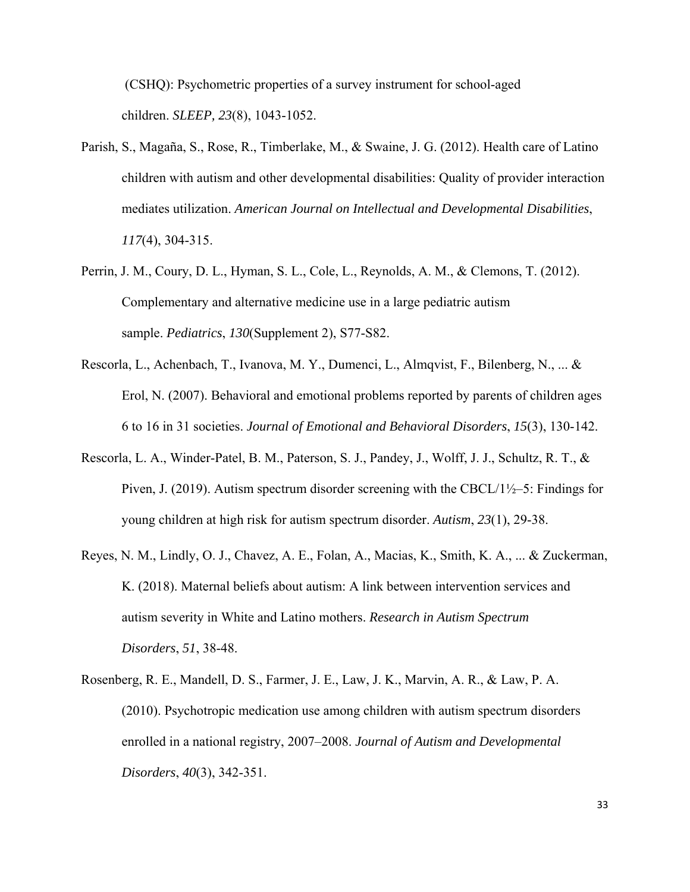(CSHQ): Psychometric properties of a survey instrument for school-aged children. *SLEEP, 23*(8), 1043-1052.

- Parish, S., Magaña, S., Rose, R., Timberlake, M., & Swaine, J. G. (2012). Health care of Latino children with autism and other developmental disabilities: Quality of provider interaction mediates utilization. *American Journal on Intellectual and Developmental Disabilities*, *117*(4), 304-315.
- Perrin, J. M., Coury, D. L., Hyman, S. L., Cole, L., Reynolds, A. M., & Clemons, T. (2012). Complementary and alternative medicine use in a large pediatric autism sample. *Pediatrics*, *130*(Supplement 2), S77-S82.
- Rescorla, L., Achenbach, T., Ivanova, M. Y., Dumenci, L., Almqvist, F., Bilenberg, N., ... & Erol, N. (2007). Behavioral and emotional problems reported by parents of children ages 6 to 16 in 31 societies. *Journal of Emotional and Behavioral Disorders*, *15*(3), 130-142.
- Rescorla, L. A., Winder-Patel, B. M., Paterson, S. J., Pandey, J., Wolff, J. J., Schultz, R. T., & Piven, J. (2019). Autism spectrum disorder screening with the CBCL/1½–5: Findings for young children at high risk for autism spectrum disorder. *Autism*, *23*(1), 29-38.
- Reyes, N. M., Lindly, O. J., Chavez, A. E., Folan, A., Macias, K., Smith, K. A., ... & Zuckerman, K. (2018). Maternal beliefs about autism: A link between intervention services and autism severity in White and Latino mothers. *Research in Autism Spectrum Disorders*, *51*, 38-48.
- Rosenberg, R. E., Mandell, D. S., Farmer, J. E., Law, J. K., Marvin, A. R., & Law, P. A. (2010). Psychotropic medication use among children with autism spectrum disorders enrolled in a national registry, 2007–2008. *Journal of Autism and Developmental Disorders*, *40*(3), 342-351.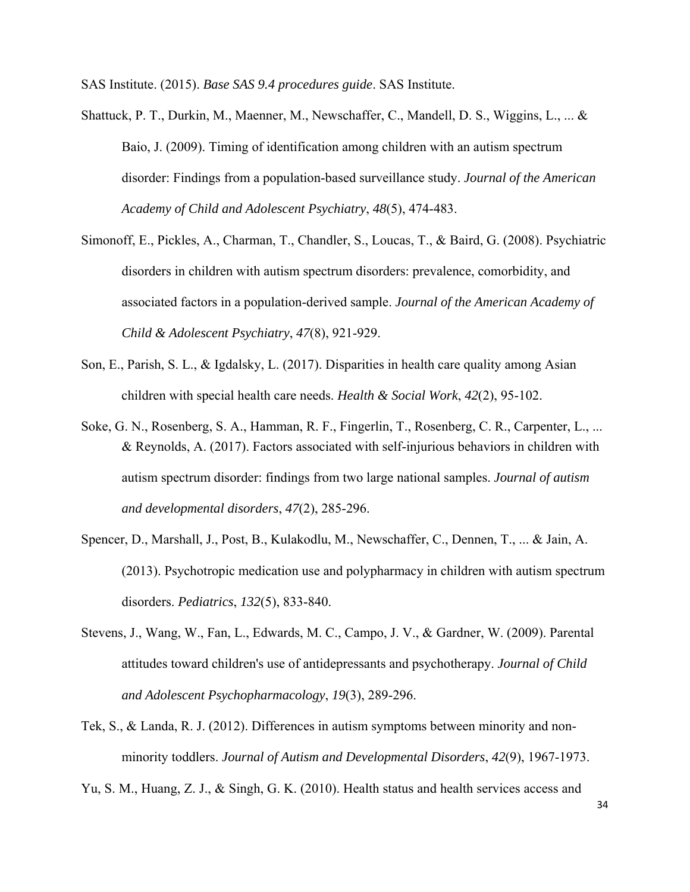SAS Institute. (2015). *Base SAS 9.4 procedures guide*. SAS Institute.

- Shattuck, P. T., Durkin, M., Maenner, M., Newschaffer, C., Mandell, D. S., Wiggins, L., ... & Baio, J. (2009). Timing of identification among children with an autism spectrum disorder: Findings from a population-based surveillance study. *Journal of the American Academy of Child and Adolescent Psychiatry*, *48*(5), 474-483.
- Simonoff, E., Pickles, A., Charman, T., Chandler, S., Loucas, T., & Baird, G. (2008). Psychiatric disorders in children with autism spectrum disorders: prevalence, comorbidity, and associated factors in a population-derived sample. *Journal of the American Academy of Child & Adolescent Psychiatry*, *47*(8), 921-929.
- Son, E., Parish, S. L., & Igdalsky, L. (2017). Disparities in health care quality among Asian children with special health care needs. *Health & Social Work*, *42*(2), 95-102.
- Soke, G. N., Rosenberg, S. A., Hamman, R. F., Fingerlin, T., Rosenberg, C. R., Carpenter, L., ... & Reynolds, A. (2017). Factors associated with self-injurious behaviors in children with autism spectrum disorder: findings from two large national samples. *Journal of autism and developmental disorders*, *47*(2), 285-296.
- Spencer, D., Marshall, J., Post, B., Kulakodlu, M., Newschaffer, C., Dennen, T., ... & Jain, A. (2013). Psychotropic medication use and polypharmacy in children with autism spectrum disorders. *Pediatrics*, *132*(5), 833-840.
- Stevens, J., Wang, W., Fan, L., Edwards, M. C., Campo, J. V., & Gardner, W. (2009). Parental attitudes toward children's use of antidepressants and psychotherapy. *Journal of Child and Adolescent Psychopharmacology*, *19*(3), 289-296.
- Tek, S., & Landa, R. J. (2012). Differences in autism symptoms between minority and nonminority toddlers. *Journal of Autism and Developmental Disorders*, *42*(9), 1967-1973.

Yu, S. M., Huang, Z. J., & Singh, G. K. (2010). Health status and health services access and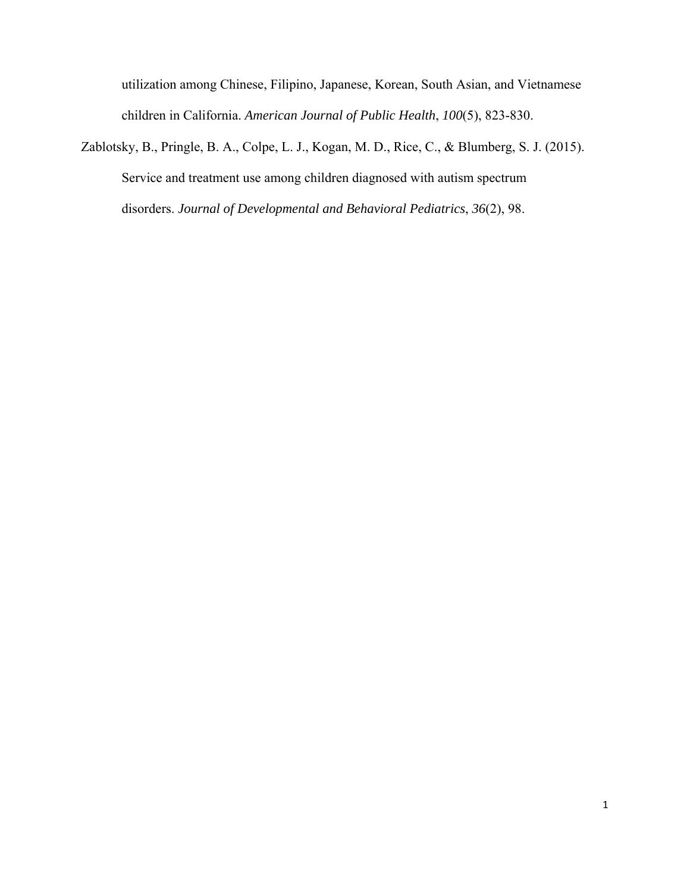utilization among Chinese, Filipino, Japanese, Korean, South Asian, and Vietnamese children in California. *American Journal of Public Health*, *100*(5), 823-830.

Zablotsky, B., Pringle, B. A., Colpe, L. J., Kogan, M. D., Rice, C., & Blumberg, S. J. (2015). Service and treatment use among children diagnosed with autism spectrum disorders. *Journal of Developmental and Behavioral Pediatrics*, *36*(2), 98.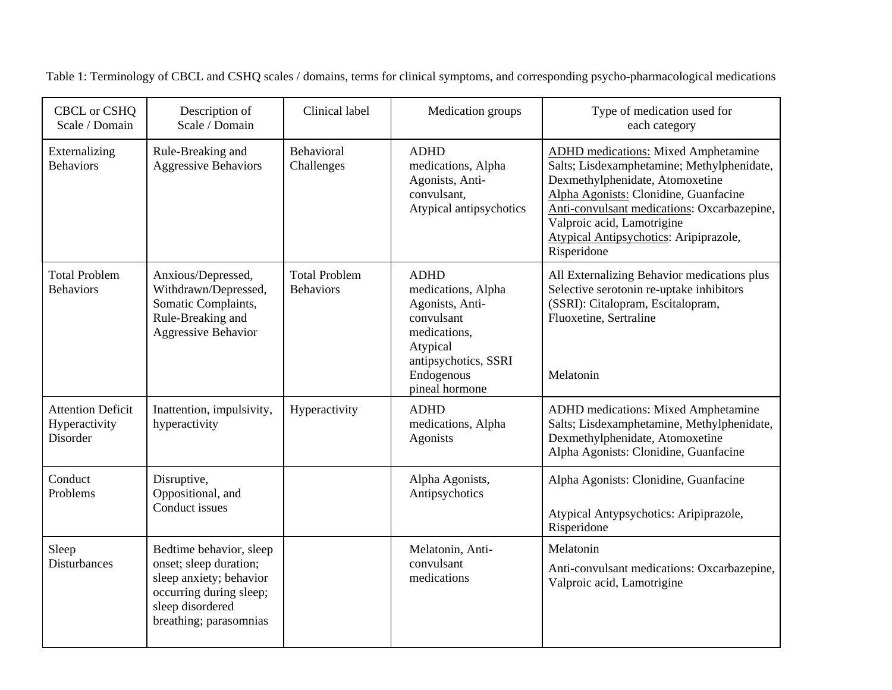| CBCL or CSHQ<br>Scale / Domain                        | Description of<br>Scale / Domain                                                                                                                      | Clinical label                           | Medication groups                                                                                                                                      | Type of medication used for<br>each category                                                                                                                                                                                                                                                               |
|-------------------------------------------------------|-------------------------------------------------------------------------------------------------------------------------------------------------------|------------------------------------------|--------------------------------------------------------------------------------------------------------------------------------------------------------|------------------------------------------------------------------------------------------------------------------------------------------------------------------------------------------------------------------------------------------------------------------------------------------------------------|
| Externalizing<br><b>Behaviors</b>                     | Rule-Breaking and<br><b>Aggressive Behaviors</b>                                                                                                      | Behavioral<br>Challenges                 | <b>ADHD</b><br>medications, Alpha<br>Agonists, Anti-<br>convulsant,<br>Atypical antipsychotics                                                         | <b>ADHD</b> medications: Mixed Amphetamine<br>Salts; Lisdexamphetamine; Methylphenidate,<br>Dexmethylphenidate, Atomoxetine<br>Alpha Agonists: Clonidine, Guanfacine<br>Anti-convulsant medications: Oxcarbazepine,<br>Valproic acid, Lamotrigine<br>Atypical Antipsychotics: Aripiprazole,<br>Risperidone |
| <b>Total Problem</b><br><b>Behaviors</b>              | Anxious/Depressed,<br>Withdrawn/Depressed,<br>Somatic Complaints,<br>Rule-Breaking and<br><b>Aggressive Behavior</b>                                  | <b>Total Problem</b><br><b>Behaviors</b> | <b>ADHD</b><br>medications, Alpha<br>Agonists, Anti-<br>convulsant<br>medications.<br>Atypical<br>antipsychotics, SSRI<br>Endogenous<br>pineal hormone | All Externalizing Behavior medications plus<br>Selective serotonin re-uptake inhibitors<br>(SSRI): Citalopram, Escitalopram,<br>Fluoxetine, Sertraline<br>Melatonin                                                                                                                                        |
| <b>Attention Deficit</b><br>Hyperactivity<br>Disorder | Inattention, impulsivity,<br>hyperactivity                                                                                                            | Hyperactivity                            | <b>ADHD</b><br>medications, Alpha<br>Agonists                                                                                                          | ADHD medications: Mixed Amphetamine<br>Salts; Lisdexamphetamine, Methylphenidate,<br>Dexmethylphenidate, Atomoxetine<br>Alpha Agonists: Clonidine, Guanfacine                                                                                                                                              |
| Conduct<br>Problems                                   | Disruptive,<br>Oppositional, and<br>Conduct issues                                                                                                    |                                          | Alpha Agonists,<br>Antipsychotics                                                                                                                      | Alpha Agonists: Clonidine, Guanfacine<br>Atypical Antypsychotics: Aripiprazole,<br>Risperidone                                                                                                                                                                                                             |
| Sleep<br><b>Disturbances</b>                          | Bedtime behavior, sleep<br>onset; sleep duration;<br>sleep anxiety; behavior<br>occurring during sleep;<br>sleep disordered<br>breathing; parasomnias |                                          | Melatonin, Anti-<br>convulsant<br>medications                                                                                                          | Melatonin<br>Anti-convulsant medications: Oxcarbazepine,<br>Valproic acid, Lamotrigine                                                                                                                                                                                                                     |

Table 1: Terminology of CBCL and CSHQ scales / domains, terms for clinical symptoms, and corresponding psycho-pharmacological medications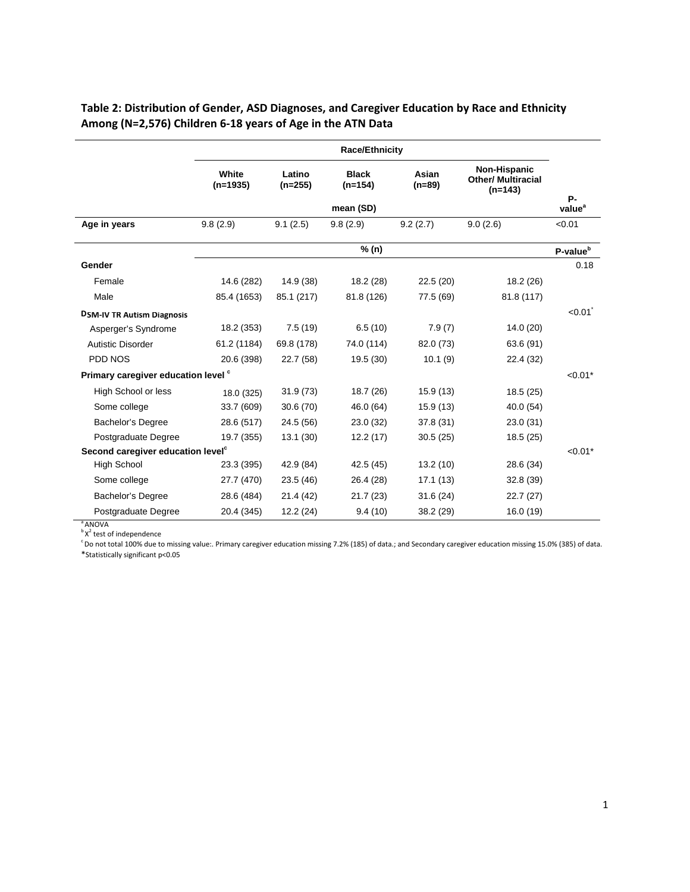|                                               | <b>Race/Ethnicity</b> |                     |                           |                   |                                                        |                          |
|-----------------------------------------------|-----------------------|---------------------|---------------------------|-------------------|--------------------------------------------------------|--------------------------|
|                                               | White<br>$(n=1935)$   | Latino<br>$(n=255)$ | <b>Black</b><br>$(n=154)$ | Asian<br>$(n=89)$ | Non-Hispanic<br><b>Other/ Multiracial</b><br>$(n=143)$ |                          |
|                                               |                       |                     | mean (SD)                 |                   |                                                        | Р-<br>value <sup>a</sup> |
| Age in years                                  | 9.8(2.9)              | 9.1(2.5)            | 9.8(2.9)                  | 9.2(2.7)          | 9.0(2.6)                                               | < 0.01                   |
|                                               |                       |                     | % (n)                     |                   |                                                        | P-value <sup>b</sup>     |
| Gender                                        |                       |                     |                           |                   |                                                        | 0.18                     |
| Female                                        | 14.6 (282)            | 14.9 (38)           | 18.2 (28)                 | 22.5(20)          | 18.2 (26)                                              |                          |
| Male                                          | 85.4 (1653)           | 85.1 (217)          | 81.8 (126)                | 77.5 (69)         | 81.8 (117)                                             |                          |
| <b>DSM-IV TR Autism Diagnosis</b>             |                       |                     |                           |                   |                                                        | < 0.01                   |
| Asperger's Syndrome                           | 18.2 (353)            | 7.5(19)             | 6.5(10)                   | 7.9(7)            | 14.0(20)                                               |                          |
| Autistic Disorder                             | 61.2 (1184)           | 69.8 (178)          | 74.0 (114)                | 82.0 (73)         | 63.6 (91)                                              |                          |
| PDD NOS                                       | 20.6 (398)            | 22.7 (58)           | 19.5 (30)                 | 10.1(9)           | 22.4 (32)                                              |                          |
| Primary caregiver education level °           |                       |                     |                           |                   |                                                        | $< 0.01*$                |
| High School or less                           | 18.0 (325)            | 31.9(73)            | 18.7 (26)                 | 15.9 (13)         | 18.5 (25)                                              |                          |
| Some college                                  | 33.7 (609)            | 30.6(70)            | 46.0 (64)                 | 15.9(13)          | 40.0 (54)                                              |                          |
| <b>Bachelor's Degree</b>                      | 28.6 (517)            | 24.5 (56)           | 23.0 (32)                 | 37.8 (31)         | 23.0 (31)                                              |                          |
| Postgraduate Degree                           | 19.7 (355)            | 13.1(30)            | 12.2(17)                  | 30.5(25)          | 18.5 (25)                                              |                          |
| Second caregiver education level <sup>c</sup> |                       |                     |                           |                   |                                                        | $< 0.01*$                |
| High School                                   | 23.3 (395)            | 42.9 (84)           | 42.5 (45)                 | 13.2(10)          | 28.6 (34)                                              |                          |
| Some college                                  | 27.7 (470)            | 23.5(46)            | 26.4 (28)                 | 17.1(13)          | 32.8 (39)                                              |                          |
| Bachelor's Degree                             | 28.6 (484)            | 21.4 (42)           | 21.7(23)                  | 31.6(24)          | 22.7(27)                                               |                          |
| Postgraduate Degree                           | 20.4 (345)            | 12.2(24)            | 9.4(10)                   | 38.2 (29)         | 16.0 (19)                                              |                          |

**Table 2: Distribution of Gender, ASD Diagnoses, and Caregiver Education by Race and Ethnicity Among (N=2,576) Children 6-18 years of Age in the ATN Data** 

 $^{\circ}$ ANOVA  $\mathsf{b} \mathsf{X}^2$ 

 $\degree$  Do not total 100% due to missing value:. Primary caregiver education missing 7.2% (185) of data.; and Secondary caregiver education missing 15.0% (385) of data.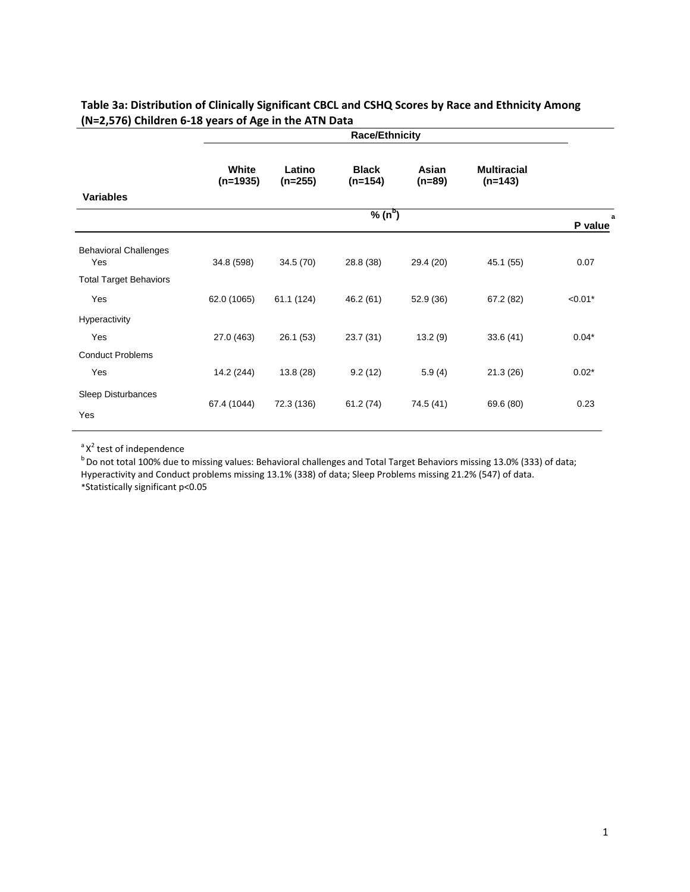|                                     | <b>Race/Ethnicity</b> |                     |                           |                   |                                 |              |
|-------------------------------------|-----------------------|---------------------|---------------------------|-------------------|---------------------------------|--------------|
|                                     | White<br>$(n=1935)$   | Latino<br>$(n=255)$ | <b>Black</b><br>$(n=154)$ | Asian<br>$(n=89)$ | <b>Multiracial</b><br>$(n=143)$ |              |
| <b>Variables</b>                    |                       |                     |                           |                   |                                 |              |
|                                     |                       |                     | $\sqrt[9]{6(n^b)}$        |                   |                                 | a<br>P value |
| <b>Behavioral Challenges</b><br>Yes | 34.8 (598)            | 34.5 (70)           | 28.8 (38)                 | 29.4 (20)         | 45.1 (55)                       | 0.07         |
| <b>Total Target Behaviors</b>       |                       |                     |                           |                   |                                 |              |
| Yes                                 | 62.0 (1065)           | 61.1 (124)          | 46.2(61)                  | 52.9 (36)         | 67.2 (82)                       | $< 0.01*$    |
| Hyperactivity                       |                       |                     |                           |                   |                                 |              |
| Yes                                 | 27.0 (463)            | 26.1(53)            | 23.7 (31)                 | 13.2(9)           | 33.6(41)                        | $0.04*$      |
| <b>Conduct Problems</b>             |                       |                     |                           |                   |                                 |              |
| Yes                                 | 14.2 (244)            | 13.8(28)            | 9.2(12)                   | 5.9(4)            | 21.3(26)                        | $0.02*$      |
| Sleep Disturbances<br>Yes           | 67.4 (1044)           | 72.3 (136)          | 61.2(74)                  | 74.5 (41)         | 69.6 (80)                       | 0.23         |

## **Table 3a: Distribution of Clinically Significant CBCL and CSHQ Scores by Race and Ethnicity Among (N=2,576) Children 6-18 years of Age in the ATN Data**

 $a^a$  X<sup>2</sup> test of independence

test of independence<br><sup>b</sup> Do not total 100% due to missing values: Behavioral challenges and Total Target Behaviors missing 13.0% (333) of data; Hyperactivity and Conduct problems missing 13.1% (338) of data; Sleep Problems missing 21.2% (547) of data.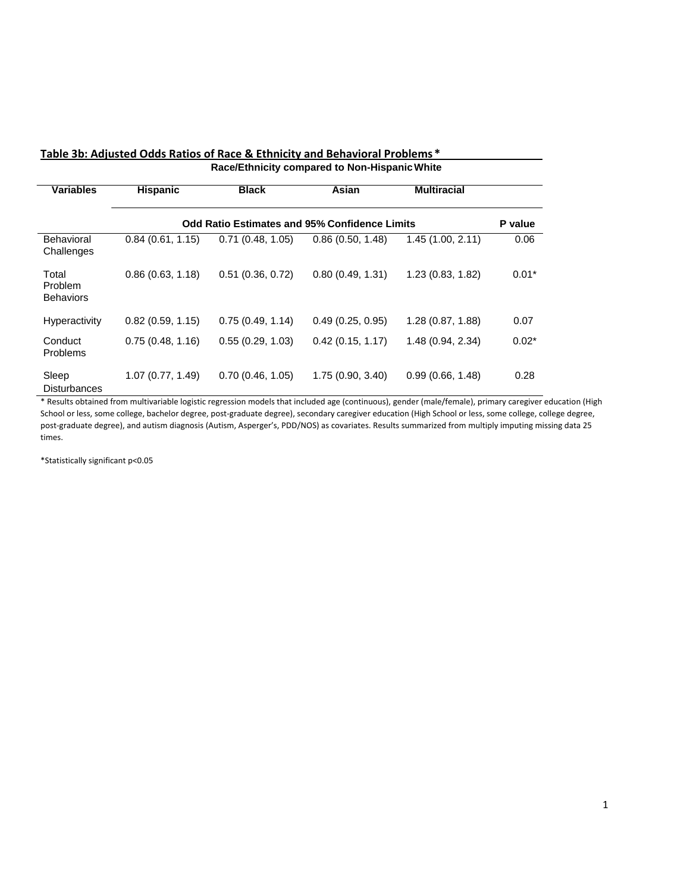#### **Table 3b: Adjusted Odds Ratios of Race & Ethnicity and Behavioral Problems \* Race/Ethnicity compared to Non-Hispanic White**

**Variables Hispanic Black Asian Multiracial Odd Ratio Estimates and 95% Confidence Limits P value** Behavioral **Challenges** 0.84 (0.61, 1.15) 0.71 (0.48, 1.05) 0.86 (0.50, 1.48) 1.45 (1.00, 2.11) 0.06 Total Problem **Behaviors** 0.86 (0.63, 1.18) 0.51 (0.36, 0.72) 0.80 (0.49, 1.31) 1.23 (0.83, 1.82) 0.01\* Hyperactivity 0.82 (0.59, 1.15) 0.75 (0.49, 1.14) 0.49 (0.25, 0.95) 1.28 (0.87, 1.88) 0.07 Conduct Problems 0.75 (0.48, 1.16) 0.55 (0.29, 1.03) 0.42 (0.15, 1.17) 1.48 (0.94, 2.34) 0.02\* Sleep 1.07 (0.77, 1.49) 0.70 (0.46, 1.05) 1.75 (0.90, 3.40) 0.99 (0.66, 1.48) 0.28 **Disturbances** 

\* Results obtained from multivariable logistic regression models that included age (continuous), gender (male/female), primary caregiver education (High School or less, some college, bachelor degree, post-graduate degree), secondary caregiver education (High School or less, some college, college degree, post-graduate degree), and autism diagnosis (Autism, Asperger's, PDD/NOS) as covariates. Results summarized from multiply imputing missing data 25 times.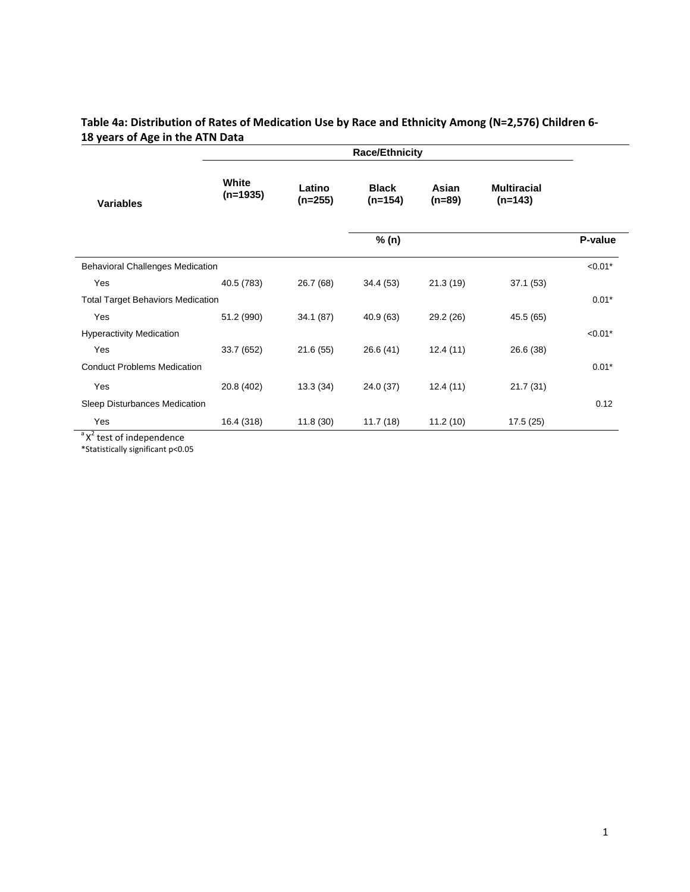## **Table 4a: Distribution of Rates of Medication Use by Race and Ethnicity Among (N=2,576) Children 6- 18 years of Age in the ATN Data**

|                                          | <b>Race/Ethnicity</b> |                     |                           |                 |                                 |           |
|------------------------------------------|-----------------------|---------------------|---------------------------|-----------------|---------------------------------|-----------|
| <b>Variables</b>                         | White<br>$(n=1935)$   | Latino<br>$(n=255)$ | <b>Black</b><br>$(n=154)$ | Asian<br>(n=89) | <b>Multiracial</b><br>$(n=143)$ |           |
|                                          |                       |                     | P-value                   |                 |                                 |           |
| <b>Behavioral Challenges Medication</b>  |                       |                     |                           |                 |                                 | $< 0.01*$ |
| Yes                                      | 40.5 (783)            | 26.7 (68)           | 34.4(53)                  | 21.3(19)        | 37.1(53)                        |           |
| <b>Total Target Behaviors Medication</b> |                       |                     |                           |                 |                                 | $0.01*$   |
| Yes                                      | 51.2 (990)            | 34.1(87)            | 40.9(63)                  | 29.2 (26)       | 45.5 (65)                       |           |
| <b>Hyperactivity Medication</b>          |                       |                     |                           |                 |                                 | $< 0.01*$ |
| Yes                                      | 33.7 (652)            | 21.6(55)            | 26.6(41)                  | 12.4(11)        | 26.6 (38)                       |           |
| <b>Conduct Problems Medication</b>       |                       |                     |                           |                 |                                 | $0.01*$   |
| Yes                                      | 20.8 (402)            | 13.3(34)            | 24.0 (37)                 | 12.4(11)        | 21.7(31)                        |           |
| Sleep Disturbances Medication            |                       |                     |                           |                 |                                 | 0.12      |
| Yes                                      | 16.4 (318)            | 11.8(30)            | 11.7(18)                  | 11.2(10)        | 17.5(25)                        |           |